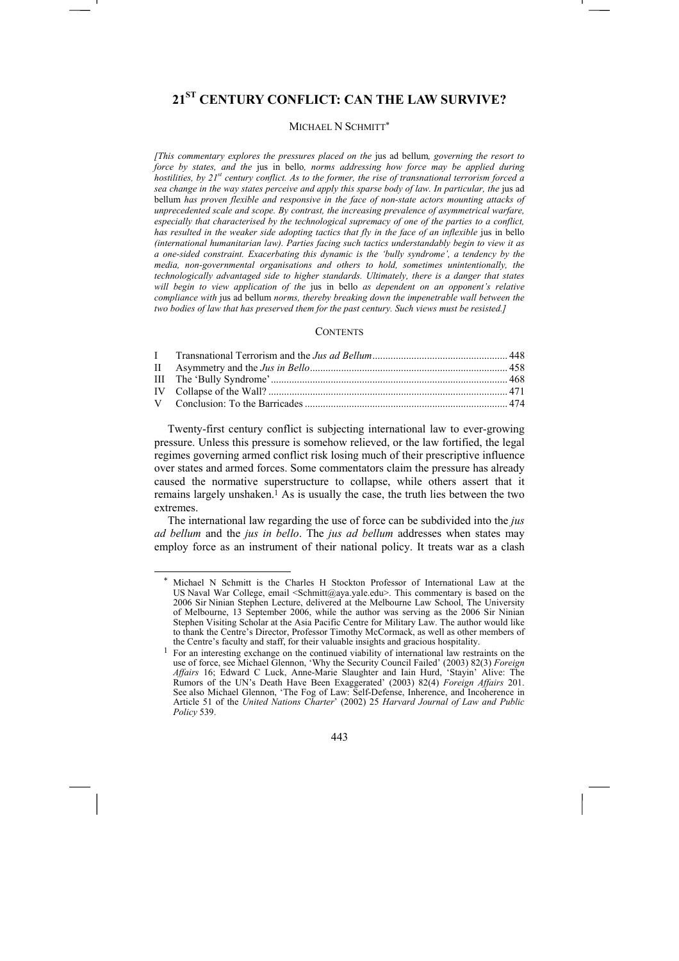# **21ST CENTURY CONFLICT: CAN THE LAW SURVIVE?**

# MICHAEL N SCHMITT\*

*[This commentary explores the pressures placed on the* jus ad bellum*, governing the resort to force by states, and the* jus in bello*, norms addressing how force may be applied during hostilities, by 21<sup>st</sup> century conflict. As to the former, the rise of transnational terrorism forced a sea change in the way states perceive and apply this sparse body of law. In particular, the* jus ad bellum *has proven flexible and responsive in the face of non-state actors mounting attacks of unprecedented scale and scope. By contrast, the increasing prevalence of asymmetrical warfare, especially that characterised by the technological supremacy of one of the parties to a conflict, has resulted in the weaker side adopting tactics that fly in the face of an inflexible jus in bello (international humanitarian law). Parties facing such tactics understandably begin to view it as a one-sided constraint. Exacerbating this dynamic is the 'bully syndrome', a tendency by the media, non-governmental organisations and others to hold, sometimes unintentionally, the technologically advantaged side to higher standards. Ultimately, there is a danger that states will begin to view application of the* jus in bello *as dependent on an opponent's relative compliance with* jus ad bellum *norms, thereby breaking down the impenetrable wall between the two bodies of law that has preserved them for the past century. Such views must be resisted.]* 

#### **CONTENTS**

Twenty-first century conflict is subjecting international law to ever-growing pressure. Unless this pressure is somehow relieved, or the law fortified, the legal regimes governing armed conflict risk losing much of their prescriptive influence over states and armed forces. Some commentators claim the pressure has already caused the normative superstructure to collapse, while others assert that it remains largely unshaken.<sup>1</sup> As is usually the case, the truth lies between the two extremes.

The international law regarding the use of force can be subdivided into the *jus ad bellum* and the *jus in bello*. The *jus ad bellum* addresses when states may employ force as an instrument of their national policy. It treats war as a clash

Michael N Schmitt is the Charles H Stockton Professor of International Law at the US Naval War College, email <Schmitt@aya.yale.edu>. This commentary is based on the 2006 Sir Ninian Stephen Lecture, delivered at the Melbourne Law School, The University of Melbourne, 13 September 2006, while the author was serving as the 2006 Sir Ninian Stephen Visiting Scholar at the Asia Pacific Centre for Military Law. The author would like to thank the Centre's Director, Professor Timothy McCormack, as well as other members of the Centre's faculty and staff, for their valuable insights and gracious hospitality.

<sup>1</sup> For an interesting exchange on the continued viability of international law restraints on the use of force, see Michael Glennon, 'Why the Security Council Failed' (2003) 82(3) *Foreign Affairs* 16; Edward C Luck, Anne-Marie Slaughter and Iain Hurd, 'Stayin' Alive: The Rumors of the UN's Death Have Been Exaggerated' (2003) 82(4) *Foreign Affairs* 201. See also Michael Glennon, 'The Fog of Law: Self-Defense, Inherence, and Incoherence in Article 51 of the *United Nations Charter*' (2002) 25 *Harvard Journal of Law and Public Policy* 539.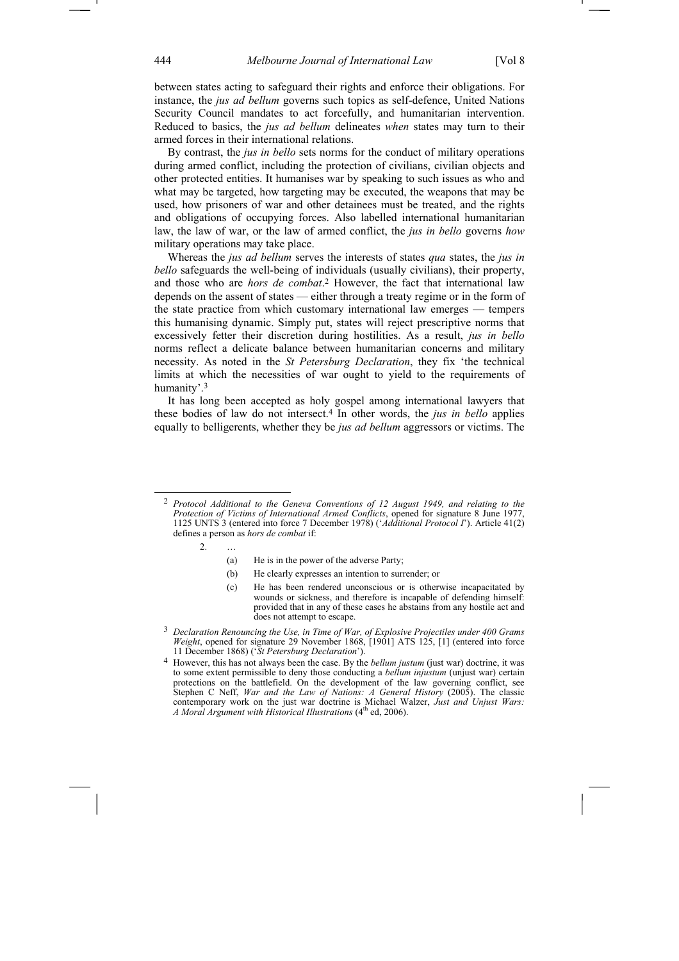between states acting to safeguard their rights and enforce their obligations. For instance, the *jus ad bellum* governs such topics as self-defence, United Nations Security Council mandates to act forcefully, and humanitarian intervention. Reduced to basics, the *jus ad bellum* delineates *when* states may turn to their armed forces in their international relations.

By contrast, the *jus in bello* sets norms for the conduct of military operations during armed conflict, including the protection of civilians, civilian objects and other protected entities. It humanises war by speaking to such issues as who and what may be targeted, how targeting may be executed, the weapons that may be used, how prisoners of war and other detainees must be treated, and the rights and obligations of occupying forces. Also labelled international humanitarian law, the law of war, or the law of armed conflict, the *jus in bello* governs *how* military operations may take place.

Whereas the *jus ad bellum* serves the interests of states *qua* states, the *jus in bello* safeguards the well-being of individuals (usually civilians), their property, and those who are *hors de combat*.2 However, the fact that international law depends on the assent of states — either through a treaty regime or in the form of the state practice from which customary international law emerges — tempers this humanising dynamic. Simply put, states will reject prescriptive norms that excessively fetter their discretion during hostilities. As a result, *jus in bello* norms reflect a delicate balance between humanitarian concerns and military necessity. As noted in the *St Petersburg Declaration*, they fix 'the technical limits at which the necessities of war ought to yield to the requirements of humanity'.3

It has long been accepted as holy gospel among international lawyers that these bodies of law do not intersect.4 In other words, the *jus in bello* applies equally to belligerents, whether they be *jus ad bellum* aggressors or victims. The

- (a) He is in the power of the adverse Party;
- (b) He clearly expresses an intention to surrender; or
- (c) He has been rendered unconscious or is otherwise incapacitated by wounds or sickness, and therefore is incapable of defending himself: provided that in any of these cases he abstains from any hostile act and does not attempt to escape.

 <sup>2</sup> *Protocol Additional to the Geneva Conventions of 12 August 1949, and relating to the Protection of Victims of International Armed Conflicts*, opened for signature 8 June 1977, 1125 UNTS 3 (entered into force 7 December 1978) ('*Additional Protocol I*'). Article 41(2) defines a person as *hors de combat* if:

<sup>2. …</sup> 

<sup>3</sup> *Declaration Renouncing the Use, in Time of War, of Explosive Projectiles under 400 Grams Weight*, opened for signature 29 November 1868, [1901] ATS 125, [1] (entered into force 11 December 1868) ('*St Petersburg Declaration*').

<sup>4</sup> However, this has not always been the case. By the *bellum justum* (just war) doctrine, it was to some extent permissible to deny those conducting a *bellum injustum* (unjust war) certain protections on the battlefield. On the development of the law governing conflict, see Stephen C Neff, *War and the Law of Nations: A General History* (2005). The classic contemporary work on the just war doctrine is Michael Walzer, *Just and Unjust Wars: A Moral Argument with Historical Illustrations* (4<sup>th</sup> ed, 2006).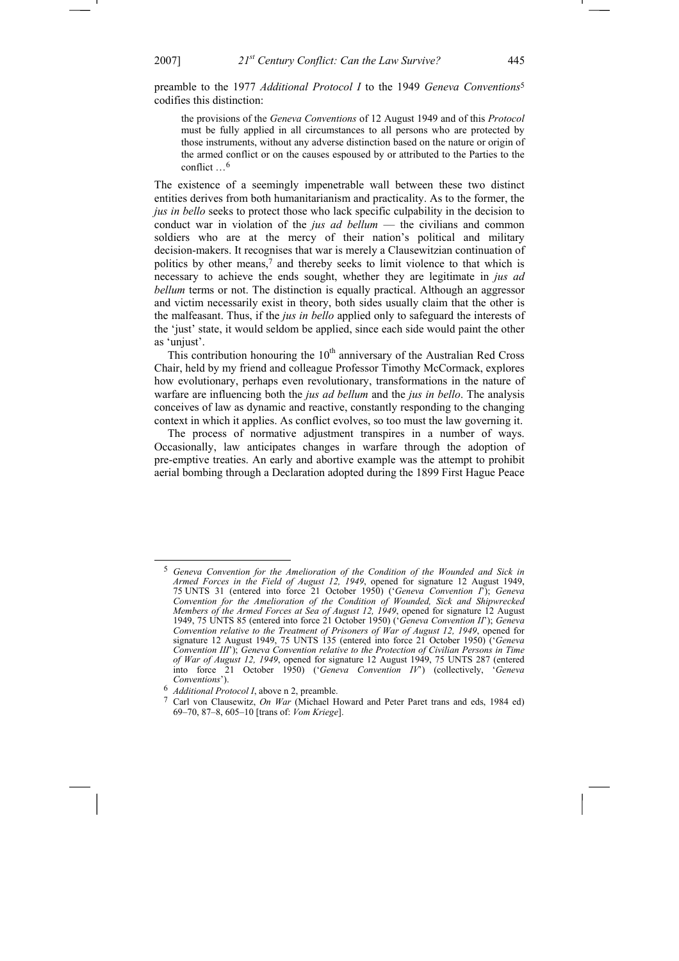preamble to the 1977 *Additional Protocol I* to the 1949 *Geneva Conventions*<sup>5</sup> codifies this distinction:

the provisions of the *Geneva Conventions* of 12 August 1949 and of this *Protocol* must be fully applied in all circumstances to all persons who are protected by those instruments, without any adverse distinction based on the nature or origin of the armed conflict or on the causes espoused by or attributed to the Parties to the conflict  $\frac{6}{5}$ 

The existence of a seemingly impenetrable wall between these two distinct entities derives from both humanitarianism and practicality. As to the former, the *jus in bello* seeks to protect those who lack specific culpability in the decision to conduct war in violation of the *jus ad bellum* — the civilians and common soldiers who are at the mercy of their nation's political and military decision-makers. It recognises that war is merely a Clausewitzian continuation of politics by other means,7 and thereby seeks to limit violence to that which is necessary to achieve the ends sought, whether they are legitimate in *jus ad bellum* terms or not. The distinction is equally practical. Although an aggressor and victim necessarily exist in theory, both sides usually claim that the other is the malfeasant. Thus, if the *jus in bello* applied only to safeguard the interests of the 'just' state, it would seldom be applied, since each side would paint the other as 'unjust'.

This contribution honouring the  $10<sup>th</sup>$  anniversary of the Australian Red Cross Chair, held by my friend and colleague Professor Timothy McCormack, explores how evolutionary, perhaps even revolutionary, transformations in the nature of warfare are influencing both the *jus ad bellum* and the *jus in bello*. The analysis conceives of law as dynamic and reactive, constantly responding to the changing context in which it applies. As conflict evolves, so too must the law governing it.

The process of normative adjustment transpires in a number of ways. Occasionally, law anticipates changes in warfare through the adoption of pre-emptive treaties. An early and abortive example was the attempt to prohibit aerial bombing through a Declaration adopted during the 1899 First Hague Peace

 <sup>5</sup> *Geneva Convention for the Amelioration of the Condition of the Wounded and Sick in Armed Forces in the Field of August 12, 1949*, opened for signature 12 August 1949, 75 UNTS 31 (entered into force 21 October 1950) ('*Geneva Convention I*'); *Geneva Convention for the Amelioration of the Condition of Wounded, Sick and Shipwrecked Members of the Armed Forces at Sea of August 12, 1949*, opened for signature 12 August 1949, 75 UNTS 85 (entered into force 21 October 1950) ('*Geneva Convention II*'); *Geneva Convention relative to the Treatment of Prisoners of War of August 12, 1949*, opened for signature 12 August 1949, 75 UNTS 135 (entered into force 21 October 1950) ('*Geneva Convention III*'); *Geneva Convention relative to the Protection of Civilian Persons in Time of War of August 12, 1949*, opened for signature 12 August 1949, 75 UNTS 287 (entered into force 21 October 1950) ('*Geneva Convention IV*') (collectively, '*Geneva Conventions*').

<sup>6</sup> *Additional Protocol I*, above n 2, preamble.

<sup>7</sup> Carl von Clausewitz, *On War* (Michael Howard and Peter Paret trans and eds, 1984 ed) 69–70, 87–8, 605–10 [trans of: *Vom Kriege*].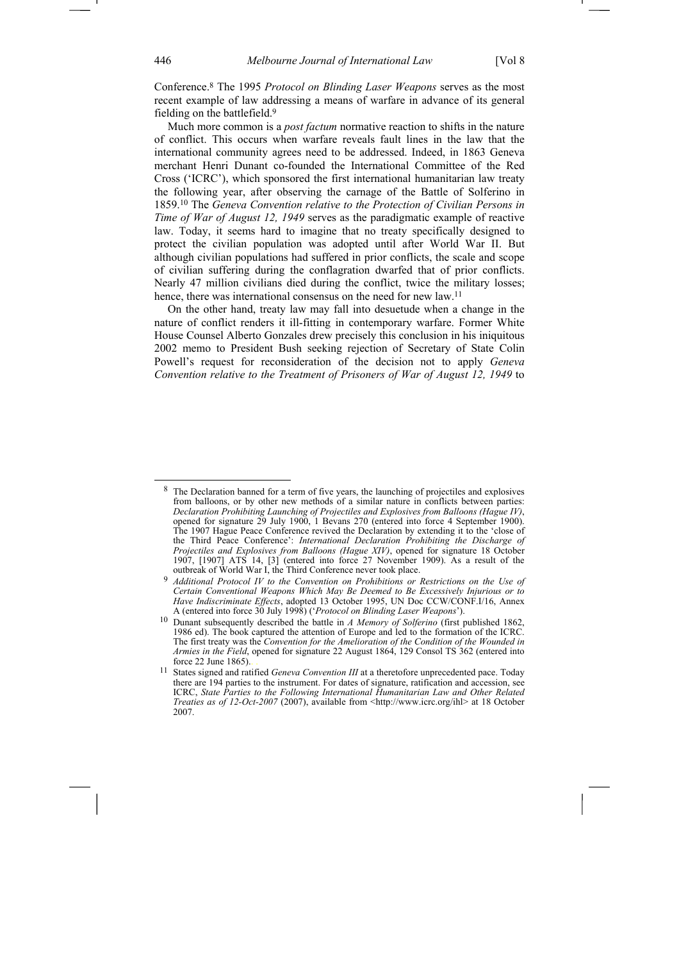Conference.8 The 1995 *Protocol on Blinding Laser Weapons* serves as the most recent example of law addressing a means of warfare in advance of its general fielding on the battlefield.9

Much more common is a *post factum* normative reaction to shifts in the nature of conflict. This occurs when warfare reveals fault lines in the law that the international community agrees need to be addressed. Indeed, in 1863 Geneva merchant Henri Dunant co-founded the International Committee of the Red Cross ('ICRC'), which sponsored the first international humanitarian law treaty the following year, after observing the carnage of the Battle of Solferino in 1859.10 The *Geneva Convention relative to the Protection of Civilian Persons in Time of War of August 12, 1949* serves as the paradigmatic example of reactive law. Today, it seems hard to imagine that no treaty specifically designed to protect the civilian population was adopted until after World War II. But although civilian populations had suffered in prior conflicts, the scale and scope of civilian suffering during the conflagration dwarfed that of prior conflicts. Nearly 47 million civilians died during the conflict, twice the military losses; hence, there was international consensus on the need for new law.<sup>11</sup>

On the other hand, treaty law may fall into desuetude when a change in the nature of conflict renders it ill-fitting in contemporary warfare. Former White House Counsel Alberto Gonzales drew precisely this conclusion in his iniquitous 2002 memo to President Bush seeking rejection of Secretary of State Colin Powell's request for reconsideration of the decision not to apply *Geneva Convention relative to the Treatment of Prisoners of War of August 12, 1949* to

<sup>&</sup>lt;sup>8</sup> The Declaration banned for a term of five years, the launching of projectiles and explosives from balloons, or by other new methods of a similar nature in conflicts between parties: *Declaration Prohibiting Launching of Projectiles and Explosives from Balloons (Hague IV)*, opened for signature 29 July 1900, 1 Bevans 270 (entered into force 4 September 1900). The 1907 Hague Peace Conference revived the Declaration by extending it to the 'close of the Third Peace Conference': *International Declaration Prohibiting the Discharge of Projectiles and Explosives from Balloons (Hague XIV)*, opened for signature 18 October 1907, [1907] ATS 14, [3] (entered into force 27 November 1909). As a result of the outbreak of World War I, the Third Conference never took place.

<sup>9</sup> *Additional Protocol IV to the Convention on Prohibitions or Restrictions on the Use of Certain Conventional Weapons Which May Be Deemed to Be Excessively Injurious or to Have Indiscriminate Effects*, adopted 13 October 1995, UN Doc CCW/CONF.I/16, Annex A (entered into force 30 July 1998) ('*Protocol on Blinding Laser Weapons*').

<sup>10</sup> Dunant subsequently described the battle in *A Memory of Solferino* (first published 1862, 1986 ed). The book captured the attention of Europe and led to the formation of the ICRC. The first treaty was the *Convention for the Amelioration of the Condition of the Wounded in Armies in the Field*, opened for signature 22 August 1864, 129 Consol TS 362 (entered into force 22 June 1865).

<sup>11</sup> States signed and ratified *Geneva Convention III* at a theretofore unprecedented pace. Today there are 194 parties to the instrument. For dates of signature, ratification and accession, see ICRC, *State Parties to the Following International Humanitarian Law and Other Related Treaties as of 12-Oct-2007* (2007), available from <http://www.icrc.org/ihl> at 18 October 2007.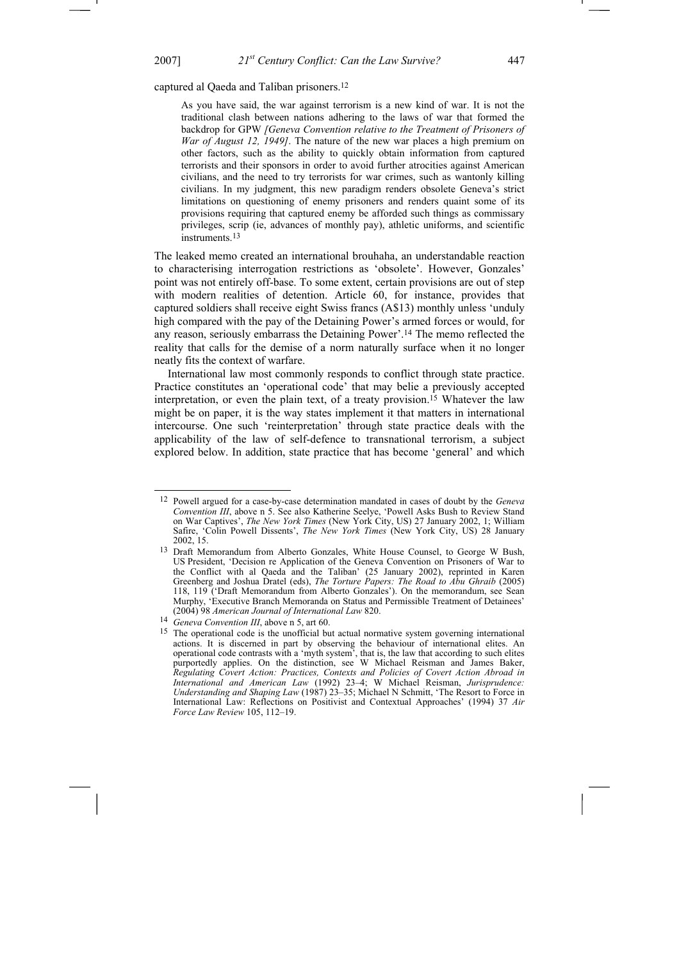$\overline{a}$ 

captured al Qaeda and Taliban prisoners.12

As you have said, the war against terrorism is a new kind of war. It is not the traditional clash between nations adhering to the laws of war that formed the backdrop for GPW *[Geneva Convention relative to the Treatment of Prisoners of War of August 12, 1949]*. The nature of the new war places a high premium on other factors, such as the ability to quickly obtain information from captured terrorists and their sponsors in order to avoid further atrocities against American civilians, and the need to try terrorists for war crimes, such as wantonly killing civilians. In my judgment, this new paradigm renders obsolete Geneva's strict limitations on questioning of enemy prisoners and renders quaint some of its provisions requiring that captured enemy be afforded such things as commissary privileges, scrip (ie, advances of monthly pay), athletic uniforms, and scientific instruments<sup>13</sup>

The leaked memo created an international brouhaha, an understandable reaction to characterising interrogation restrictions as 'obsolete'. However, Gonzales' point was not entirely off-base. To some extent, certain provisions are out of step with modern realities of detention. Article 60, for instance, provides that captured soldiers shall receive eight Swiss francs (A\$13) monthly unless 'unduly high compared with the pay of the Detaining Power's armed forces or would, for any reason, seriously embarrass the Detaining Power'.14 The memo reflected the reality that calls for the demise of a norm naturally surface when it no longer neatly fits the context of warfare.

International law most commonly responds to conflict through state practice. Practice constitutes an 'operational code' that may belie a previously accepted interpretation, or even the plain text, of a treaty provision.<sup>15</sup> Whatever the law might be on paper, it is the way states implement it that matters in international intercourse. One such 'reinterpretation' through state practice deals with the applicability of the law of self-defence to transnational terrorism, a subject explored below. In addition, state practice that has become 'general' and which

<sup>12</sup> Powell argued for a case-by-case determination mandated in cases of doubt by the *Geneva Convention III*, above n 5. See also Katherine Seelye, 'Powell Asks Bush to Review Stand on War Captives', *The New York Times* (New York City, US) 27 January 2002, 1; William Safire, 'Colin Powell Dissents', *The New York Times* (New York City, US) 28 January 2002, 15.

<sup>13</sup> Draft Memorandum from Alberto Gonzales, White House Counsel, to George W Bush, US President, 'Decision re Application of the Geneva Convention on Prisoners of War to the Conflict with al Qaeda and the Taliban' (25 January 2002), reprinted in Karen Greenberg and Joshua Dratel (eds), *The Torture Papers: The Road to Abu Ghraib* (2005) 118, 119 ('Draft Memorandum from Alberto Gonzales'). On the memorandum, see Sean Murphy, 'Executive Branch Memoranda on Status and Permissible Treatment of Detainees' (2004) 98 *American Journal of International Law* 820.

<sup>14</sup> *Geneva Convention III*, above n 5, art 60.

<sup>&</sup>lt;sup>15</sup> The operational code is the unofficial but actual normative system governing international actions. It is discerned in part by observing the behaviour of international elites. An operational code contrasts with a 'myth system', that is, the law that according to such elites purportedly applies. On the distinction, see W Michael Reisman and James Baker, *Regulating Covert Action: Practices, Contexts and Policies of Covert Action Abroad in International and American Law* (1992) 23–4; W Michael Reisman, *Jurisprudence: Understanding and Shaping Law* (1987) 23–35; Michael N Schmitt, 'The Resort to Force in International Law: Reflections on Positivist and Contextual Approaches' (1994) 37 *Air Force Law Review* 105, 112–19.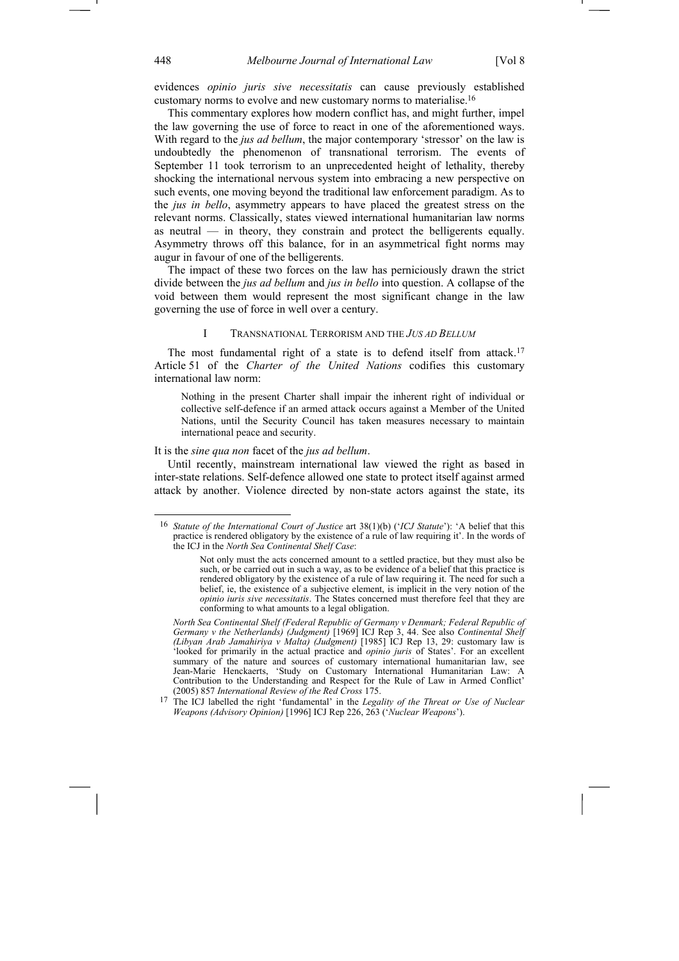evidences *opinio juris sive necessitatis* can cause previously established customary norms to evolve and new customary norms to materialise.16

This commentary explores how modern conflict has, and might further, impel the law governing the use of force to react in one of the aforementioned ways. With regard to the *jus ad bellum*, the major contemporary 'stressor' on the law is undoubtedly the phenomenon of transnational terrorism. The events of September 11 took terrorism to an unprecedented height of lethality, thereby shocking the international nervous system into embracing a new perspective on such events, one moving beyond the traditional law enforcement paradigm. As to the *jus in bello*, asymmetry appears to have placed the greatest stress on the relevant norms. Classically, states viewed international humanitarian law norms as neutral — in theory, they constrain and protect the belligerents equally. Asymmetry throws off this balance, for in an asymmetrical fight norms may augur in favour of one of the belligerents.

The impact of these two forces on the law has perniciously drawn the strict divide between the *jus ad bellum* and *jus in bello* into question. A collapse of the void between them would represent the most significant change in the law governing the use of force in well over a century.

# I TRANSNATIONAL TERRORISM AND THE *JUS AD BELLUM*

The most fundamental right of a state is to defend itself from attack.<sup>17</sup> Article 51 of the *Charter of the United Nations* codifies this customary international law norm:

Nothing in the present Charter shall impair the inherent right of individual or collective self-defence if an armed attack occurs against a Member of the United Nations, until the Security Council has taken measures necessary to maintain international peace and security.

#### It is the *sine qua non* facet of the *jus ad bellum*.

Until recently, mainstream international law viewed the right as based in inter-state relations. Self-defence allowed one state to protect itself against armed attack by another. Violence directed by non-state actors against the state, its

<sup>16</sup> *Statute of the International Court of Justice* art 38(1)(b) ('*ICJ Statute*'): 'A belief that this practice is rendered obligatory by the existence of a rule of law requiring it'. In the words of the ICJ in the *North Sea Continental Shelf Case*:

Not only must the acts concerned amount to a settled practice, but they must also be such, or be carried out in such a way, as to be evidence of a belief that this practice is rendered obligatory by the existence of a rule of law requiring it. The need for such a belief, ie, the existence of a subjective element, is implicit in the very notion of the *opinio iuris sive necessitatis*. The States concerned must therefore feel that they are conforming to what amounts to a legal obligation.

*North Sea Continental Shelf (Federal Republic of Germany v Denmark; Federal Republic of Germany v the Netherlands) (Judgment)* [1969] ICJ Rep 3, 44. See also *Continental Shelf (Libyan Arab Jamahiriya v Malta) (Judgment)* [1985] ICJ Rep 13, 29: customary law is 'looked for primarily in the actual practice and *opinio juris* of States'. For an excellent summary of the nature and sources of customary international humanitarian law, see Jean-Marie Henckaerts, 'Study on Customary International Humanitarian Law: A Contribution to the Understanding and Respect for the Rule of Law in Armed Conflict' (2005) 857 *International Review of the Red Cross* 175.

<sup>17</sup> The ICJ labelled the right 'fundamental' in the *Legality of the Threat or Use of Nuclear Weapons (Advisory Opinion)* [1996] ICJ Rep 226, 263 ('*Nuclear Weapons*').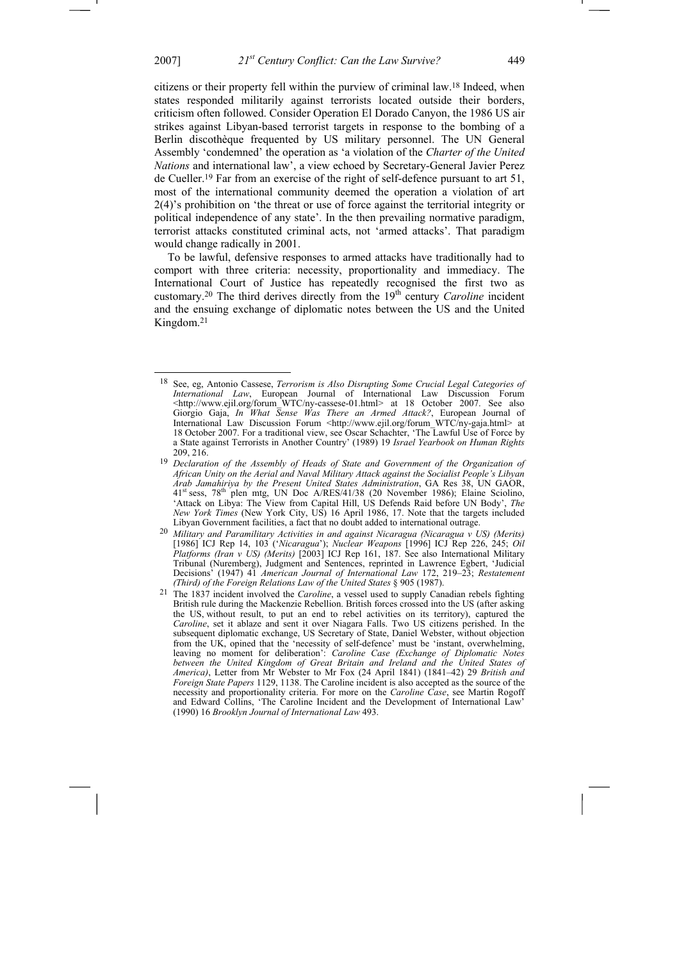citizens or their property fell within the purview of criminal law.18 Indeed, when states responded militarily against terrorists located outside their borders, criticism often followed. Consider Operation El Dorado Canyon, the 1986 US air strikes against Libyan-based terrorist targets in response to the bombing of a Berlin discothèque frequented by US military personnel. The UN General Assembly 'condemned' the operation as 'a violation of the *Charter of the United Nations* and international law', a view echoed by Secretary-General Javier Perez de Cueller.19 Far from an exercise of the right of self-defence pursuant to art 51, most of the international community deemed the operation a violation of art 2(4)'s prohibition on 'the threat or use of force against the territorial integrity or political independence of any state'. In the then prevailing normative paradigm, terrorist attacks constituted criminal acts, not 'armed attacks'. That paradigm would change radically in 2001.

To be lawful, defensive responses to armed attacks have traditionally had to comport with three criteria: necessity, proportionality and immediacy. The International Court of Justice has repeatedly recognised the first two as customary.<sup>20</sup> The third derives directly from the 19<sup>th</sup> century *Caroline* incident and the ensuing exchange of diplomatic notes between the US and the United Kingdom.21

 $\overline{a}$ 

<sup>18</sup> See, eg, Antonio Cassese, *Terrorism is Also Disrupting Some Crucial Legal Categories of International Law*, European Journal of International Law Discussion Forum <http://www.ejil.org/forum\_WTC/ny-cassese-01.html> at 18 October 2007. See also Giorgio Gaja, *In What Sense Was There an Armed Attack?*, European Journal of International Law Discussion Forum <http://www.ejil.org/forum\_WTC/ny-gaja.html> at 18 October 2007. For a traditional view, see Oscar Schachter, 'The Lawful Use of Force by a State against Terrorists in Another Country' (1989) 19 *Israel Yearbook on Human Rights* 209, 216.

<sup>&</sup>lt;sup>19</sup> Declaration of the Assembly of Heads of State and Government of the Organization of *African Unity on the Aerial and Naval Military Attack against the Socialist People's Libyan Arab Jamahiriya by the Present United States Administration*, GA Res 38, UN GAOR, 41st sess, 78th plen mtg, UN Doc A/RES/41/38 (20 November 1986); Elaine Sciolino, 'Attack on Libya: The View from Capital Hill, US Defends Raid before UN Body', *The New York Times* (New York City, US) 16 April 1986, 17. Note that the targets included Libyan Government facilities, a fact that no doubt added to international outrage.

<sup>20</sup> *Military and Paramilitary Activities in and against Nicaragua (Nicaragua v US) (Merits)*  [1986] ICJ Rep 14, 103 ('*Nicaragua*'); *Nuclear Weapons* [1996] ICJ Rep 226, 245; *Oil Platforms (Iran v US) (Merits)* [2003] ICJ Rep 161, 187. See also International Military Tribunal (Nuremberg), Judgment and Sentences, reprinted in Lawrence Egbert, 'Judicial Decisions' (1947) 41 *American Journal of International Law* 172, 219–23; *Restatement (Third) of the Foreign Relations Law of the United States* § 905 (1987).

<sup>21</sup> The 1837 incident involved the *Caroline*, a vessel used to supply Canadian rebels fighting British rule during the Mackenzie Rebellion. British forces crossed into the US (after asking the US, without result, to put an end to rebel activities on its territory), captured the *Caroline*, set it ablaze and sent it over Niagara Falls. Two US citizens perished. In the subsequent diplomatic exchange, US Secretary of State, Daniel Webster, without objection from the UK, opined that the 'necessity of self-defence' must be 'instant, overwhelming, leaving no moment for deliberation': *Caroline Case (Exchange of Diplomatic Notes*  between the United Kingdom of Great Britain and Ireland and the United States of *America)*, Letter from Mr Webster to Mr Fox (24 April 1841) (1841–42) 29 *British and Foreign State Papers* 1129, 1138. The Caroline incident is also accepted as the source of the necessity and proportionality criteria. For more on the *Caroline Case*, see Martin Rogoff and Edward Collins, 'The Caroline Incident and the Development of International Law' (1990) 16 *Brooklyn Journal of International Law* 493.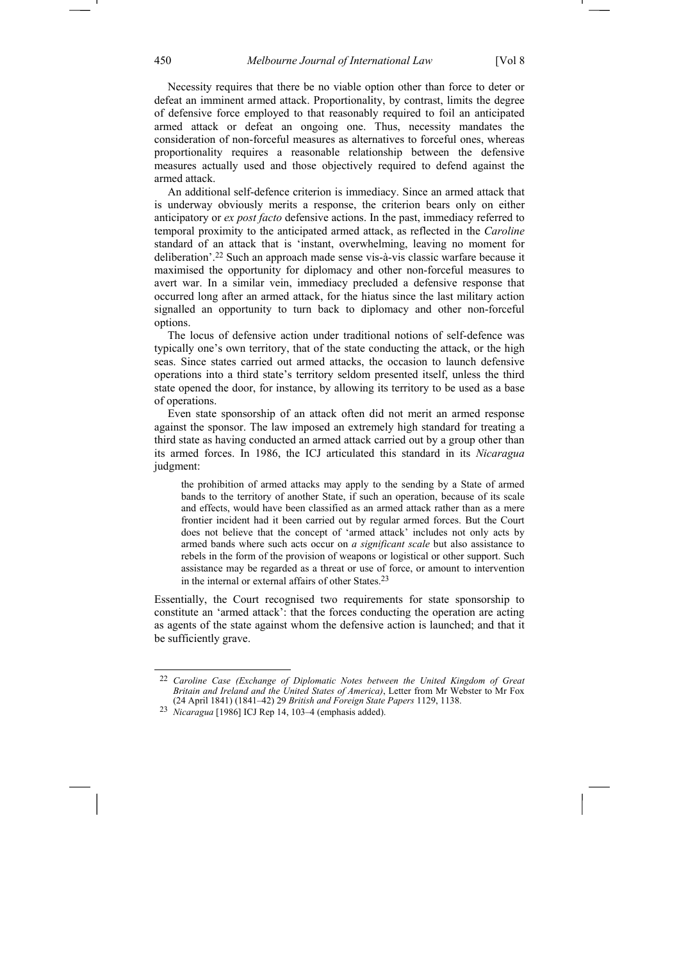Necessity requires that there be no viable option other than force to deter or defeat an imminent armed attack. Proportionality, by contrast, limits the degree of defensive force employed to that reasonably required to foil an anticipated armed attack or defeat an ongoing one. Thus, necessity mandates the consideration of non-forceful measures as alternatives to forceful ones, whereas proportionality requires a reasonable relationship between the defensive measures actually used and those objectively required to defend against the armed attack.

An additional self-defence criterion is immediacy. Since an armed attack that is underway obviously merits a response, the criterion bears only on either anticipatory or *ex post facto* defensive actions. In the past, immediacy referred to temporal proximity to the anticipated armed attack, as reflected in the *Caroline* standard of an attack that is 'instant, overwhelming, leaving no moment for deliberation'.22 Such an approach made sense vis-à-vis classic warfare because it maximised the opportunity for diplomacy and other non-forceful measures to avert war. In a similar vein, immediacy precluded a defensive response that occurred long after an armed attack, for the hiatus since the last military action signalled an opportunity to turn back to diplomacy and other non-forceful options.

The locus of defensive action under traditional notions of self-defence was typically one's own territory, that of the state conducting the attack, or the high seas. Since states carried out armed attacks, the occasion to launch defensive operations into a third state's territory seldom presented itself, unless the third state opened the door, for instance, by allowing its territory to be used as a base of operations.

Even state sponsorship of an attack often did not merit an armed response against the sponsor. The law imposed an extremely high standard for treating a third state as having conducted an armed attack carried out by a group other than its armed forces. In 1986, the ICJ articulated this standard in its *Nicaragua* judgment:

the prohibition of armed attacks may apply to the sending by a State of armed bands to the territory of another State, if such an operation, because of its scale and effects, would have been classified as an armed attack rather than as a mere frontier incident had it been carried out by regular armed forces. But the Court does not believe that the concept of 'armed attack' includes not only acts by armed bands where such acts occur on *a significant scale* but also assistance to rebels in the form of the provision of weapons or logistical or other support. Such assistance may be regarded as a threat or use of force, or amount to intervention in the internal or external affairs of other States.23

Essentially, the Court recognised two requirements for state sponsorship to constitute an 'armed attack': that the forces conducting the operation are acting as agents of the state against whom the defensive action is launched; and that it be sufficiently grave.

<sup>22</sup> *Caroline Case (Exchange of Diplomatic Notes between the United Kingdom of Great Britain and Ireland and the United States of America)*, Letter from Mr Webster to Mr Fox (24 April 1841) (1841–42) 29 *British and Foreign State Papers* 1129, 1138.

<sup>23</sup> *Nicaragua* [1986] ICJ Rep 14, 103–4 (emphasis added).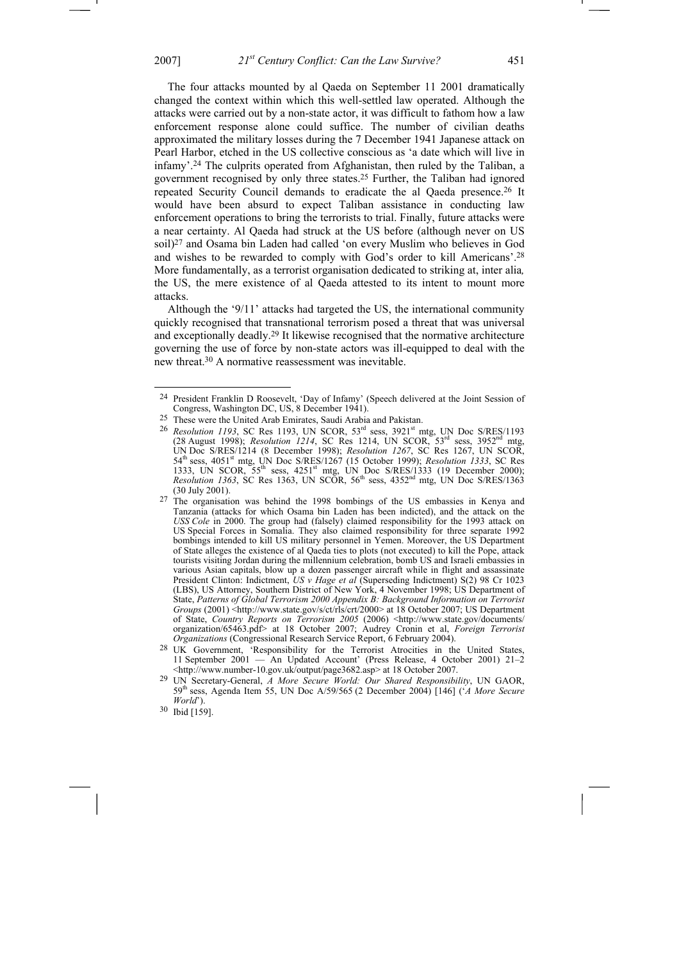The four attacks mounted by al Qaeda on September 11 2001 dramatically changed the context within which this well-settled law operated. Although the attacks were carried out by a non-state actor, it was difficult to fathom how a law enforcement response alone could suffice. The number of civilian deaths approximated the military losses during the 7 December 1941 Japanese attack on Pearl Harbor, etched in the US collective conscious as 'a date which will live in infamy'.24 The culprits operated from Afghanistan, then ruled by the Taliban, a government recognised by only three states.25 Further, the Taliban had ignored repeated Security Council demands to eradicate the al Qaeda presence.26 It would have been absurd to expect Taliban assistance in conducting law enforcement operations to bring the terrorists to trial. Finally, future attacks were a near certainty. Al Qaeda had struck at the US before (although never on US soil)27 and Osama bin Laden had called 'on every Muslim who believes in God and wishes to be rewarded to comply with God's order to kill Americans'.28 More fundamentally, as a terrorist organisation dedicated to striking at, inter alia*,* the US, the mere existence of al Qaeda attested to its intent to mount more attacks.

Although the '9/11' attacks had targeted the US, the international community quickly recognised that transnational terrorism posed a threat that was universal and exceptionally deadly.29 It likewise recognised that the normative architecture governing the use of force by non-state actors was ill-equipped to deal with the new threat.30 A normative reassessment was inevitable.

<sup>24</sup> President Franklin D Roosevelt, 'Day of Infamy' (Speech delivered at the Joint Session of Congress, Washington DC, US, 8 December 1941).

<sup>25</sup> These were the United Arab Emirates, Saudi Arabia and Pakistan.

<sup>&</sup>lt;sup>26</sup> *Resolution 1193*, SC Res 1193, UN SCOR, 53<sup>rd</sup> sess, 3921<sup>st</sup> mtg, UN Doc S/RES/1193 (28 August 1998); *Resolution 1214*, SC Res 1214, UN SCOR, 53rd sess, 3952nd mtg, UN Doc S/RES/1214 (8 December 1998); *Resolution 1267*, SC Res 1267, UN SCOR, 54<sup>th</sup> sess, 4051<sup>st</sup> mtg, UN Doc S/RES/1267 (15 October 1999); *Resolution 1333*, SC Res 1333, UN SCOR, 55th sess, 4251st mtg, UN Doc S/RES/1333 (19 December 2000); *Resolution 1363*, SC Res 1363, UN SCOR, 56<sup>th</sup> sess, 4352<sup>nd</sup> mtg, UN Doc S/RES/1363 (30 July 2001).

<sup>&</sup>lt;sup>27</sup> The organisation was behind the 1998 bombings of the US embassies in Kenya and Tanzania (attacks for which Osama bin Laden has been indicted), and the attack on the *USS Cole* in 2000. The group had (falsely) claimed responsibility for the 1993 attack on US Special Forces in Somalia. They also claimed responsibility for three separate 1992 bombings intended to kill US military personnel in Yemen. Moreover, the US Department of State alleges the existence of al Qaeda ties to plots (not executed) to kill the Pope, attack tourists visiting Jordan during the millennium celebration, bomb US and Israeli embassies in various Asian capitals, blow up a dozen passenger aircraft while in flight and assassinate President Clinton: Indictment, *US v Hage et al* (Superseding Indictment) S(2) 98 Cr 1023 (LBS), US Attorney, Southern District of New York, 4 November 1998; US Department of State, *Patterns of Global Terrorism 2000 Appendix B: Background Information on Terrorist Groups* (2001) <http://www.state.gov/s/ct/rls/crt/2000> at 18 October 2007; US Department of State, *Country Reports on Terrorism 2005* (2006) <http://www.state.gov/documents/ organization/65463.pdf> at 18 October 2007; Audrey Cronin et al, *Foreign Terrorist Organizations* (Congressional Research Service Report, 6 February 2004).

<sup>28</sup> UK Government, 'Responsibility for the Terrorist Atrocities in the United States, 11 September 2001 — An Updated Account' (Press Release, 4 October 2001) 21–2 <http://www.number-10.gov.uk/output/page3682.asp> at 18 October 2007.

<sup>29</sup> UN Secretary-General, *A More Secure World: Our Shared Responsibility*, UN GAOR, 59th sess, Agenda Item 55, UN Doc A/59/565 (2 December 2004) [146] ('*A More Secure World*').

<sup>30</sup> Ibid [159].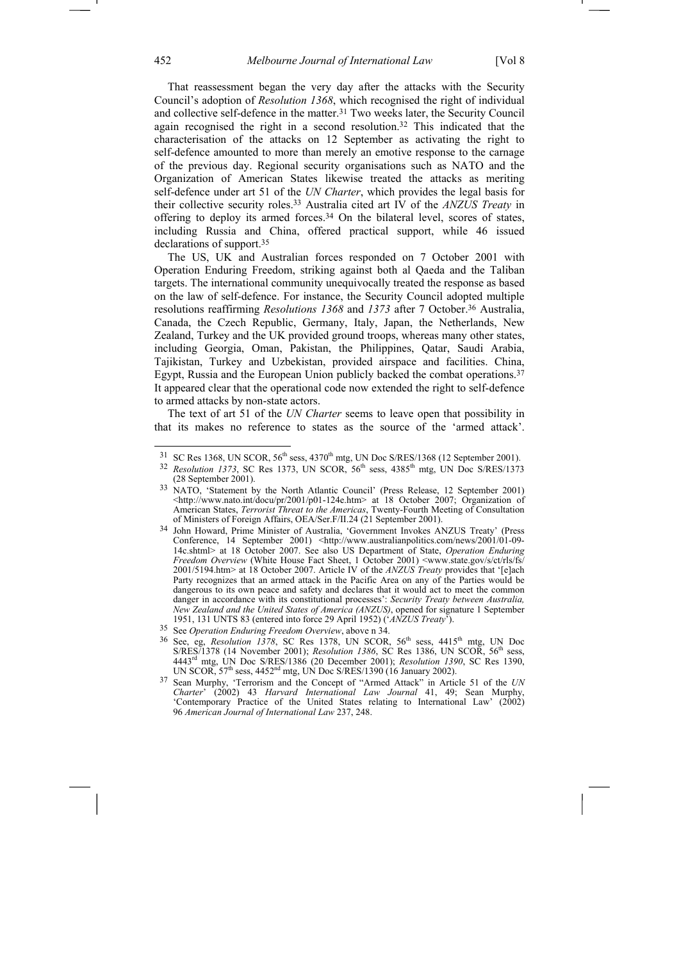That reassessment began the very day after the attacks with the Security Council's adoption of *Resolution 1368*, which recognised the right of individual and collective self-defence in the matter.<sup>31</sup> Two weeks later, the Security Council again recognised the right in a second resolution.32 This indicated that the characterisation of the attacks on 12 September as activating the right to self-defence amounted to more than merely an emotive response to the carnage of the previous day. Regional security organisations such as NATO and the Organization of American States likewise treated the attacks as meriting self-defence under art 51 of the *UN Charter*, which provides the legal basis for their collective security roles.33 Australia cited art IV of the *ANZUS Treaty* in offering to deploy its armed forces.<sup>34</sup> On the bilateral level, scores of states, including Russia and China, offered practical support, while 46 issued declarations of support.35

The US, UK and Australian forces responded on 7 October 2001 with Operation Enduring Freedom, striking against both al Qaeda and the Taliban targets. The international community unequivocally treated the response as based on the law of self-defence. For instance, the Security Council adopted multiple resolutions reaffirming *Resolutions 1368* and *1373* after 7 October.36 Australia, Canada, the Czech Republic, Germany, Italy, Japan, the Netherlands, New Zealand, Turkey and the UK provided ground troops, whereas many other states, including Georgia, Oman, Pakistan, the Philippines, Qatar, Saudi Arabia, Tajikistan, Turkey and Uzbekistan, provided airspace and facilities. China, Egypt, Russia and the European Union publicly backed the combat operations.<sup>37</sup> It appeared clear that the operational code now extended the right to self-defence to armed attacks by non-state actors.

The text of art 51 of the *UN Charter* seems to leave open that possibility in that its makes no reference to states as the source of the 'armed attack'.

 $31$  SC Res 1368, UN SCOR,  $56<sup>th</sup>$  sess,  $4370<sup>th</sup>$  mtg, UN Doc S/RES/1368 (12 September 2001).

<sup>&</sup>lt;sup>32</sup> *Resolution 1373*, SC Res 1373, UN SCOR, 56<sup>th</sup> sess, 4385<sup>th</sup> mtg, UN Doc S/RES/1373 (28 September 2001).

<sup>&</sup>lt;sup>33</sup> NATO, 'Statement by the North Atlantic Council' (Press Release, 12 September 2001) <http://www.nato.int/docu/pr/2001/p01-124e.htm> at 18 October 2007; Organization of American States, *Terrorist Threat to the Americas*, Twenty-Fourth Meeting of Consultation of Ministers of Foreign Affairs, OEA/Ser.F/II.24 (21 September 2001).

<sup>34</sup> John Howard, Prime Minister of Australia, 'Government Invokes ANZUS Treaty' (Press Conference, 14 September 2001) <http://www.australianpolitics.com/news/2001/01-09- 14c.shtml> at 18 October 2007. See also US Department of State, *Operation Enduring Freedom Overview* (White House Fact Sheet, 1 October 2001) <www.state.gov/s/ct/rls/fs/ 2001/5194.htm> at 18 October 2007. Article IV of the *ANZUS Treaty* provides that '[e]ach Party recognizes that an armed attack in the Pacific Area on any of the Parties would be dangerous to its own peace and safety and declares that it would act to meet the common danger in accordance with its constitutional processes': *Security Treaty between Australia, New Zealand and the United States of America (ANZUS)*, opened for signature 1 September 1951, 131 UNTS 83 (entered into force 29 April 1952) ('*ANZUS Treaty*').

<sup>35</sup> See *Operation Enduring Freedom Overview*, above n 34.

<sup>&</sup>lt;sup>36</sup> See, eg, *Resolution 1378*, SC Res 1378, UN SCOR, 56<sup>th</sup> sess, 4415<sup>th</sup> mtg, UN Doc S/RES/1378 (14 November 2001); *Resolution 1386*, SC Res 1386, UN SCOR, 56<sup>th</sup> sess, 4443rd mtg, UN Doc S/RES/1386 (20 December 2001); *Resolution 1390*, SC Res 1390, UN SCOR,  $57<sup>th</sup>$  sess,  $4452<sup>nd</sup>$  mtg, UN Doc S/RES/1390 (16 January 2002).

<sup>37</sup> Sean Murphy, 'Terrorism and the Concept of "Armed Attack" in Article 51 of the *UN Charter*' (2002) 43 *Harvard International Law Journal* 41, 49; Sean Murphy, 'Contemporary Practice of the United States relating to International Law' (2002) 96 *American Journal of International Law* 237, 248.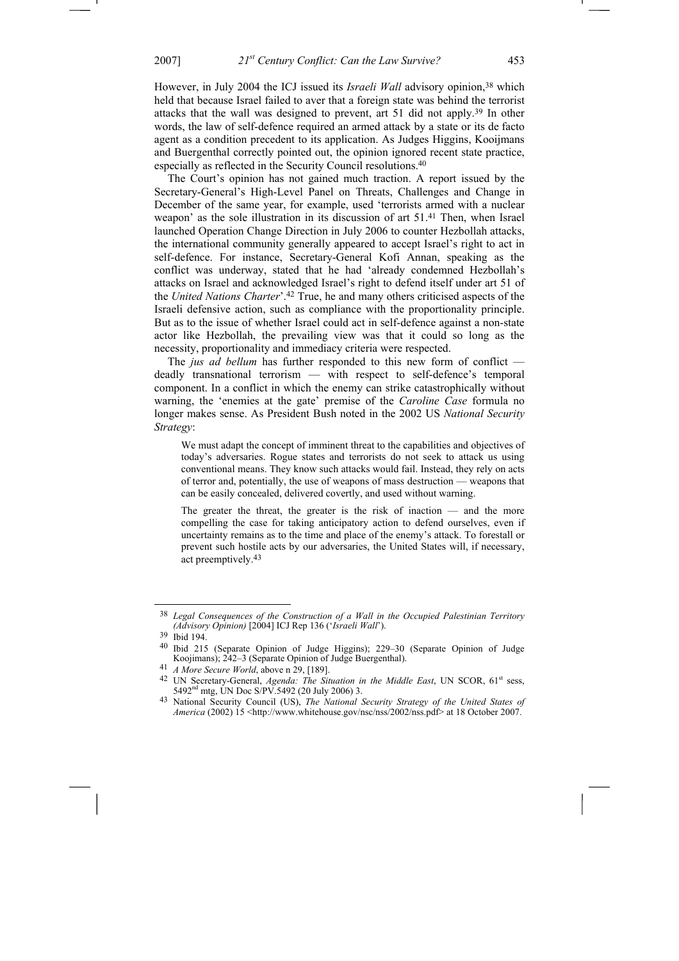However, in July 2004 the ICJ issued its *Israeli Wall* advisory opinion,38 which held that because Israel failed to aver that a foreign state was behind the terrorist attacks that the wall was designed to prevent, art 51 did not apply.39 In other words, the law of self-defence required an armed attack by a state or its de facto agent as a condition precedent to its application. As Judges Higgins, Kooijmans and Buergenthal correctly pointed out, the opinion ignored recent state practice, especially as reflected in the Security Council resolutions.40

The Court's opinion has not gained much traction. A report issued by the Secretary-General's High-Level Panel on Threats, Challenges and Change in December of the same year, for example, used 'terrorists armed with a nuclear weapon' as the sole illustration in its discussion of art 51.<sup>41</sup> Then, when Israel launched Operation Change Direction in July 2006 to counter Hezbollah attacks, the international community generally appeared to accept Israel's right to act in self-defence. For instance, Secretary-General Kofi Annan, speaking as the conflict was underway, stated that he had 'already condemned Hezbollah's attacks on Israel and acknowledged Israel's right to defend itself under art 51 of the *United Nations Charter*'.42 True, he and many others criticised aspects of the Israeli defensive action, such as compliance with the proportionality principle. But as to the issue of whether Israel could act in self-defence against a non-state actor like Hezbollah, the prevailing view was that it could so long as the necessity, proportionality and immediacy criteria were respected.

The *jus ad bellum* has further responded to this new form of conflict deadly transnational terrorism — with respect to self-defence's temporal component. In a conflict in which the enemy can strike catastrophically without warning, the 'enemies at the gate' premise of the *Caroline Case* formula no longer makes sense. As President Bush noted in the 2002 US *National Security Strategy*:

We must adapt the concept of imminent threat to the capabilities and objectives of today's adversaries. Rogue states and terrorists do not seek to attack us using conventional means. They know such attacks would fail. Instead, they rely on acts of terror and, potentially, the use of weapons of mass destruction — weapons that can be easily concealed, delivered covertly, and used without warning.

The greater the threat, the greater is the risk of inaction — and the more compelling the case for taking anticipatory action to defend ourselves, even if uncertainty remains as to the time and place of the enemy's attack. To forestall or prevent such hostile acts by our adversaries, the United States will, if necessary, act preemptively.43

<sup>38</sup> *Legal Consequences of the Construction of a Wall in the Occupied Palestinian Territory (Advisory Opinion)* [2004] ICJ Rep 136 ('*Israeli Wall*').

<sup>39</sup> Ibid 194.

<sup>40</sup> Ibid 215 (Separate Opinion of Judge Higgins); 229–30 (Separate Opinion of Judge Koojimans); 242–3 (Separate Opinion of Judge Buergenthal).

<sup>41</sup> *A More Secure World*, above n 29, [189].

<sup>&</sup>lt;sup>42</sup> UN Secretary-General, *Agenda: The Situation in the Middle East*, UN SCOR, 61<sup>st</sup> sess, 5492<sup>nd</sup> mtg, UN Doc S/PV.5492 (20 July 2006) 3.

<sup>43</sup> National Security Council (US), *The National Security Strategy of the United States of America* (2002) 15 <http://www.whitehouse.gov/nsc/nss/2002/nss.pdf> at 18 October 2007.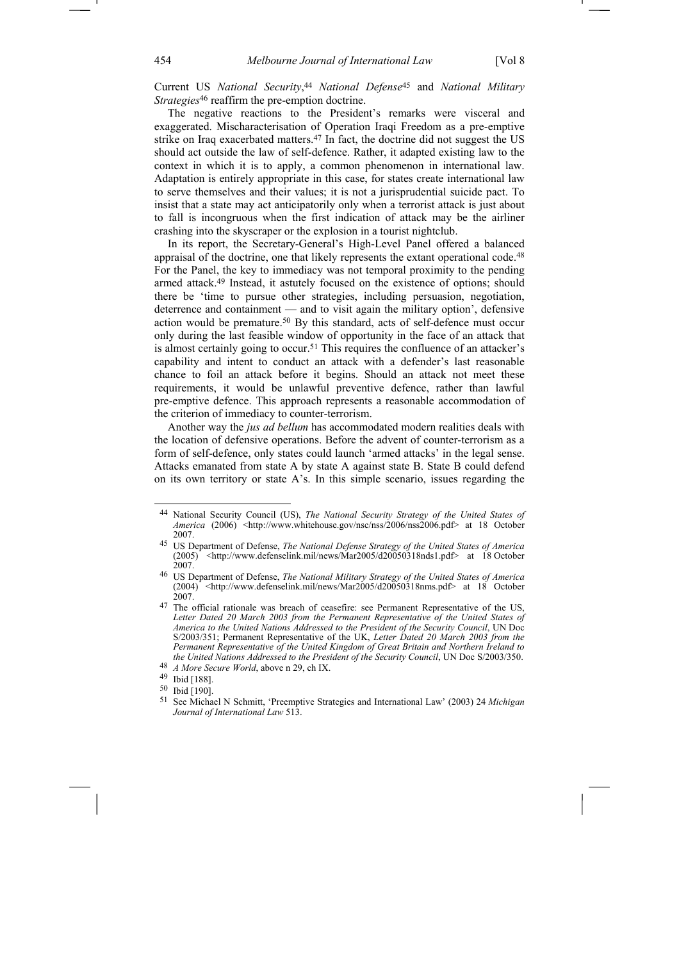Current US *National Security*, <sup>44</sup> *National Defense*45 and *National Military Strategies*<sup>46</sup> reaffirm the pre-emption doctrine.

The negative reactions to the President's remarks were visceral and exaggerated. Mischaracterisation of Operation Iraqi Freedom as a pre-emptive strike on Iraq exacerbated matters.<sup>47</sup> In fact, the doctrine did not suggest the US should act outside the law of self-defence. Rather, it adapted existing law to the context in which it is to apply, a common phenomenon in international law. Adaptation is entirely appropriate in this case, for states create international law to serve themselves and their values; it is not a jurisprudential suicide pact. To insist that a state may act anticipatorily only when a terrorist attack is just about to fall is incongruous when the first indication of attack may be the airliner crashing into the skyscraper or the explosion in a tourist nightclub.

In its report, the Secretary-General's High-Level Panel offered a balanced appraisal of the doctrine, one that likely represents the extant operational code.<sup>48</sup> For the Panel, the key to immediacy was not temporal proximity to the pending armed attack.49 Instead, it astutely focused on the existence of options; should there be 'time to pursue other strategies, including persuasion, negotiation, deterrence and containment — and to visit again the military option', defensive action would be premature.50 By this standard, acts of self-defence must occur only during the last feasible window of opportunity in the face of an attack that is almost certainly going to occur.51 This requires the confluence of an attacker's capability and intent to conduct an attack with a defender's last reasonable chance to foil an attack before it begins. Should an attack not meet these requirements, it would be unlawful preventive defence, rather than lawful pre-emptive defence. This approach represents a reasonable accommodation of the criterion of immediacy to counter-terrorism.

Another way the *jus ad bellum* has accommodated modern realities deals with the location of defensive operations. Before the advent of counter-terrorism as a form of self-defence, only states could launch 'armed attacks' in the legal sense. Attacks emanated from state A by state A against state B. State B could defend on its own territory or state A's. In this simple scenario, issues regarding the

<sup>44</sup> National Security Council (US), *The National Security Strategy of the United States of America* (2006) <http://www.whitehouse.gov/nsc/nss/2006/nss2006.pdf> at 18 October 2007.

<sup>45</sup> US Department of Defense, *The National Defense Strategy of the United States of America*  (2005) <http://www.defenselink.mil/news/Mar2005/d20050318nds1.pdf> at 18 October 2007.

<sup>46</sup> US Department of Defense, *The National Military Strategy of the United States of America*  $(2004)$ <sup> $\rightarrow$ </sup> <http://www.defenselink.mil/news/Mar2005/d20050318nms.pdf> at 18 October 2007.

<sup>47</sup> The official rationale was breach of ceasefire: see Permanent Representative of the US, Letter Dated 20 March 2003 from the Permanent Representative of the United States of *America to the United Nations Addressed to the President of the Security Council*, UN Doc S/2003/351; Permanent Representative of the UK, *Letter Dated 20 March 2003 from the Permanent Representative of the United Kingdom of Great Britain and Northern Ireland to the United Nations Addressed to the President of the Security Council*, UN Doc S/2003/350.

<sup>48</sup> *A More Secure World*, above n 29, ch IX.

<sup>49</sup> Ibid [188].

<sup>50</sup> Ibid [190].

<sup>51</sup> See Michael N Schmitt, 'Preemptive Strategies and International Law' (2003) 24 *Michigan Journal of International Law* 513.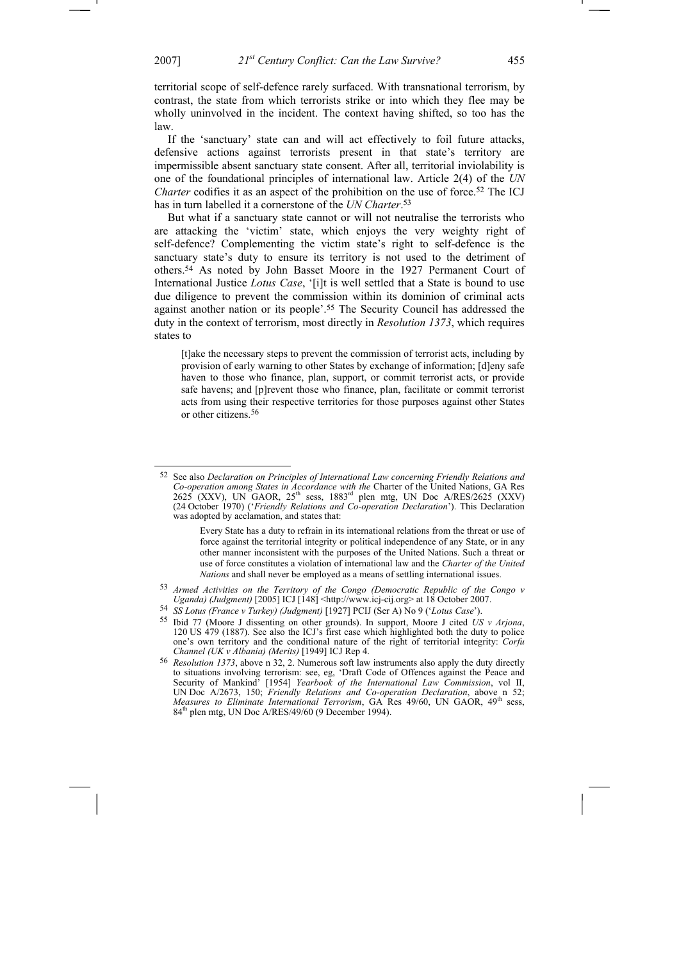territorial scope of self-defence rarely surfaced. With transnational terrorism, by contrast, the state from which terrorists strike or into which they flee may be wholly uninvolved in the incident. The context having shifted, so too has the law.

If the 'sanctuary' state can and will act effectively to foil future attacks, defensive actions against terrorists present in that state's territory are impermissible absent sanctuary state consent. After all, territorial inviolability is one of the foundational principles of international law. Article 2(4) of the *UN Charter* codifies it as an aspect of the prohibition on the use of force.<sup>52</sup> The ICJ has in turn labelled it a cornerstone of the *UN Charter*. 53

But what if a sanctuary state cannot or will not neutralise the terrorists who are attacking the 'victim' state, which enjoys the very weighty right of self-defence? Complementing the victim state's right to self-defence is the sanctuary state's duty to ensure its territory is not used to the detriment of others.54 As noted by John Basset Moore in the 1927 Permanent Court of International Justice *Lotus Case*, '[i]t is well settled that a State is bound to use due diligence to prevent the commission within its dominion of criminal acts against another nation or its people'.55 The Security Council has addressed the duty in the context of terrorism, most directly in *Resolution 1373*, which requires states to

[t]ake the necessary steps to prevent the commission of terrorist acts, including by provision of early warning to other States by exchange of information; [d]eny safe haven to those who finance, plan, support, or commit terrorist acts, or provide safe havens; and [p]revent those who finance, plan, facilitate or commit terrorist acts from using their respective territories for those purposes against other States or other citizens.56

 $\overline{a}$ 

<sup>52</sup> See also *Declaration on Principles of International Law concerning Friendly Relations and Co-operation among States in Accordance with the Charter of the United Nations, GA Res 2625 (XXV), UN GAOR, 25<sup>th</sup> sess, 1883<sup>rd</sup> plen mtg, UN Doc A/RES/2625 (XXV)* (24 October 1970) ('*Friendly Relations and Co-operation Declaration*'). This Declaration was adopted by acclamation, and states that:

Every State has a duty to refrain in its international relations from the threat or use of force against the territorial integrity or political independence of any State, or in any other manner inconsistent with the purposes of the United Nations. Such a threat or use of force constitutes a violation of international law and the *Charter of the United Nations* and shall never be employed as a means of settling international issues.

<sup>53</sup> *Armed Activities on the Territory of the Congo (Democratic Republic of the Congo v Uganda) (Judgment)* [2005] ICJ [148] <http://www.icj-cij.org> at 18 October 2007.

<sup>54</sup> *SS Lotus (France v Turkey) (Judgment)* [1927] PCIJ (Ser A) No 9 ('*Lotus Case*').

<sup>55</sup> Ibid 77 (Moore J dissenting on other grounds). In support, Moore J cited *US v Arjona*, 120 US 479 (1887). See also the ICJ's first case which highlighted both the duty to police one's own territory and the conditional nature of the right of territorial integrity: *Corfu Channel (UK v Albania) (Merits)* [1949] ICJ Rep 4.

<sup>56</sup> *Resolution 1373*, above n 32, 2. Numerous soft law instruments also apply the duty directly to situations involving terrorism: see, eg, 'Draft Code of Offences against the Peace and Security of Mankind' [1954] *Yearbook of the International Law Commission*, vol II, UN Doc A/2673, 150; *Friendly Relations and Co-operation Declaration*, above n 52; *Measures to Eliminate International Terrorism*, GA Res 49/60, UN GAOR, 49<sup>th</sup> sess, 84<sup>th</sup> plen mtg, UN Doc A/RES/49/60 (9 December 1994).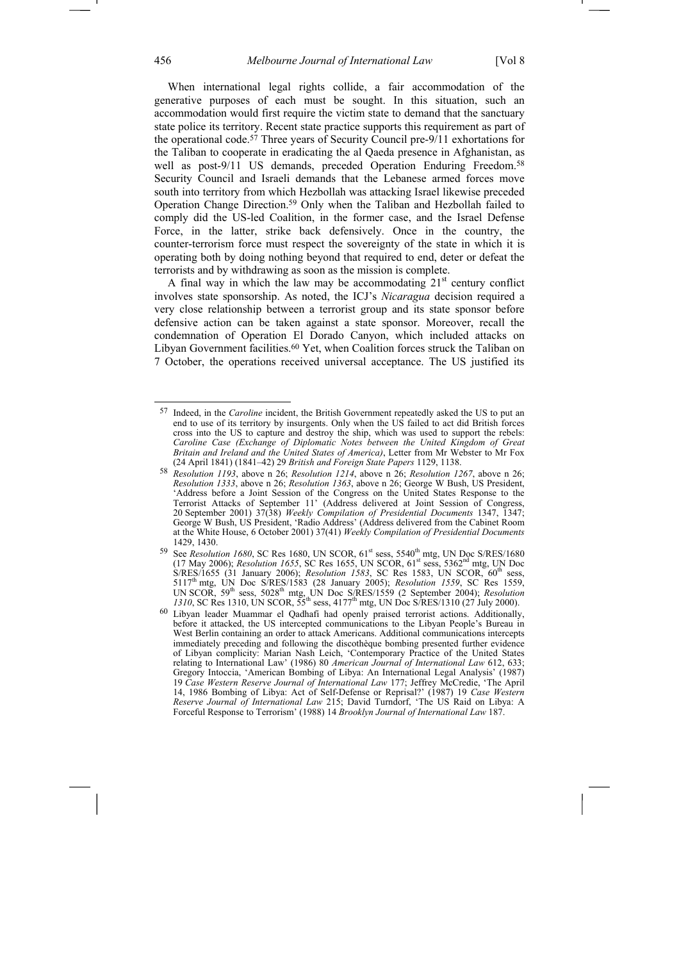When international legal rights collide, a fair accommodation of the generative purposes of each must be sought. In this situation, such an accommodation would first require the victim state to demand that the sanctuary state police its territory. Recent state practice supports this requirement as part of the operational code.57 Three years of Security Council pre-9/11 exhortations for the Taliban to cooperate in eradicating the al Qaeda presence in Afghanistan, as well as post-9/11 US demands, preceded Operation Enduring Freedom.<sup>58</sup> Security Council and Israeli demands that the Lebanese armed forces move south into territory from which Hezbollah was attacking Israel likewise preceded Operation Change Direction.59 Only when the Taliban and Hezbollah failed to comply did the US-led Coalition, in the former case, and the Israel Defense Force, in the latter, strike back defensively. Once in the country, the counter-terrorism force must respect the sovereignty of the state in which it is operating both by doing nothing beyond that required to end, deter or defeat the terrorists and by withdrawing as soon as the mission is complete.

A final way in which the law may be accommodating  $21<sup>st</sup>$  century conflict involves state sponsorship. As noted, the ICJ's *Nicaragua* decision required a very close relationship between a terrorist group and its state sponsor before defensive action can be taken against a state sponsor. Moreover, recall the condemnation of Operation El Dorado Canyon, which included attacks on Libyan Government facilities.<sup>60</sup> Yet, when Coalition forces struck the Taliban on 7 October, the operations received universal acceptance. The US justified its

<sup>57</sup> Indeed, in the *Caroline* incident, the British Government repeatedly asked the US to put an end to use of its territory by insurgents. Only when the US failed to act did British forces cross into the US to capture and destroy the ship, which was used to support the rebels: *Caroline Case (Exchange of Diplomatic Notes between the United Kingdom of Great Britain and Ireland and the United States of America)*, Letter from Mr Webster to Mr Fox (24 April 1841) (1841–42) 29 *British and Foreign State Papers* 1129, 1138.

<sup>58</sup> *Resolution 1193*, above n 26; *Resolution 1214*, above n 26; *Resolution 1267*, above n 26; *Resolution 1333*, above n 26; *Resolution 1363*, above n 26; George W Bush, US President, 'Address before a Joint Session of the Congress on the United States Response to the Terrorist Attacks of September 11' (Address delivered at Joint Session of Congress, 20 September 2001) 37(38) *Weekly Compilation of Presidential Documents* 1347, 1347; George W Bush, US President, 'Radio Address' (Address delivered from the Cabinet Room at the White House, 6 October 2001) 37(41) *Weekly Compilation of Presidential Documents*  1429, 1430.

<sup>&</sup>lt;sup>59</sup> See *Resolution 1680*, SC Res 1680, UN SCOR, 61<sup>st</sup> sess, 5540<sup>th</sup> mtg, UN Doc S/RES/1680 (17 May 2006); *Resolution 1655*, SC Res 1655, UN SCOR, 61st sess, 5362nd mtg, UN Doc S/RES/1655 (31 January 2006); *Resolution 1583*, SC Res 1583, UN SCOR, 60<sup>th</sup> sess, 5117th mtg, UN Doc S/RES/1583 (28 January 2005); *Resolution 1559*, SC Res 1559, UN SCOR, 59<sup>th</sup> sess, 5028<sup>th</sup> mtg, UN Doc S/RES/1559 (2 September 2004); *Resolution 1310*, SC Res 1310, UN SCOR, 55th sess, 4177th mtg, UN Doc S/RES/1310 (27 July 2000).

<sup>60</sup> Libyan leader Muammar el Qadhafi had openly praised terrorist actions. Additionally, before it attacked, the US intercepted communications to the Libyan People's Bureau in West Berlin containing an order to attack Americans. Additional communications intercepts immediately preceding and following the discothèque bombing presented further evidence of Libyan complicity: Marian Nash Leich, 'Contemporary Practice of the United States relating to International Law' (1986) 80 *American Journal of International Law* 612, 633; Gregory Intoccia, 'American Bombing of Libya: An International Legal Analysis' (1987) 19 *Case Western Reserve Journal of International Law* 177; Jeffrey McCredie, 'The April 14, 1986 Bombing of Libya: Act of Self-Defense or Reprisal?' (1987) 19 *Case Western Reserve Journal of International Law* 215; David Turndorf, 'The US Raid on Libya: A Forceful Response to Terrorism' (1988) 14 *Brooklyn Journal of International Law* 187.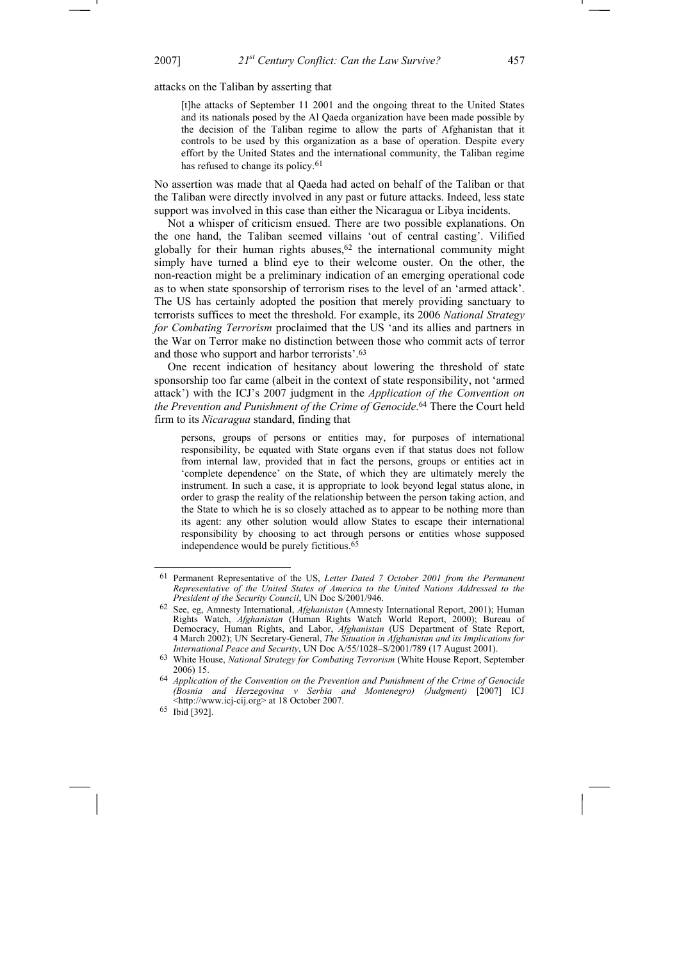attacks on the Taliban by asserting that

[t]he attacks of September 11 2001 and the ongoing threat to the United States and its nationals posed by the Al Qaeda organization have been made possible by the decision of the Taliban regime to allow the parts of Afghanistan that it controls to be used by this organization as a base of operation. Despite every effort by the United States and the international community, the Taliban regime has refused to change its policy.<sup>61</sup>

No assertion was made that al Qaeda had acted on behalf of the Taliban or that the Taliban were directly involved in any past or future attacks. Indeed, less state support was involved in this case than either the Nicaragua or Libya incidents.

Not a whisper of criticism ensued. There are two possible explanations. On the one hand, the Taliban seemed villains 'out of central casting'. Vilified globally for their human rights abuses, $62$  the international community might simply have turned a blind eye to their welcome ouster. On the other, the non-reaction might be a preliminary indication of an emerging operational code as to when state sponsorship of terrorism rises to the level of an 'armed attack'. The US has certainly adopted the position that merely providing sanctuary to terrorists suffices to meet the threshold. For example, its 2006 *National Strategy for Combating Terrorism* proclaimed that the US 'and its allies and partners in the War on Terror make no distinction between those who commit acts of terror and those who support and harbor terrorists'.63

One recent indication of hesitancy about lowering the threshold of state sponsorship too far came (albeit in the context of state responsibility, not 'armed attack') with the ICJ's 2007 judgment in the *Application of the Convention on the Prevention and Punishment of the Crime of Genocide*. 64 There the Court held firm to its *Nicaragua* standard, finding that

persons, groups of persons or entities may, for purposes of international responsibility, be equated with State organs even if that status does not follow from internal law, provided that in fact the persons, groups or entities act in 'complete dependence' on the State, of which they are ultimately merely the instrument. In such a case, it is appropriate to look beyond legal status alone, in order to grasp the reality of the relationship between the person taking action, and the State to which he is so closely attached as to appear to be nothing more than its agent: any other solution would allow States to escape their international responsibility by choosing to act through persons or entities whose supposed independence would be purely fictitious.65

<sup>61</sup> Permanent Representative of the US, *Letter Dated 7 October 2001 from the Permanent Representative of the United States of America to the United Nations Addressed to the President of the Security Council*, UN Doc S/2001/946.

<sup>62</sup> See, eg, Amnesty International, *Afghanistan* (Amnesty International Report, 2001); Human Rights Watch, *Afghanistan* (Human Rights Watch World Report, 2000); Bureau of Democracy, Human Rights, and Labor, *Afghanistan* (US Department of State Report, 4 March 2002); UN Secretary-General, *The Situation in Afghanistan and its Implications for International Peace and Security*, UN Doc A/55/1028–S/2001/789 (17 August 2001).

<sup>63</sup> White House, *National Strategy for Combating Terrorism* (White House Report, September 2006) 15.

<sup>64</sup> *Application of the Convention on the Prevention and Punishment of the Crime of Genocide (Bosnia and Herzegovina v Serbia and Montenegro) (Judgment)* [2007] ICJ <http://www.icj-cij.org> at 18 October 2007.

<sup>65</sup> Ibid [392].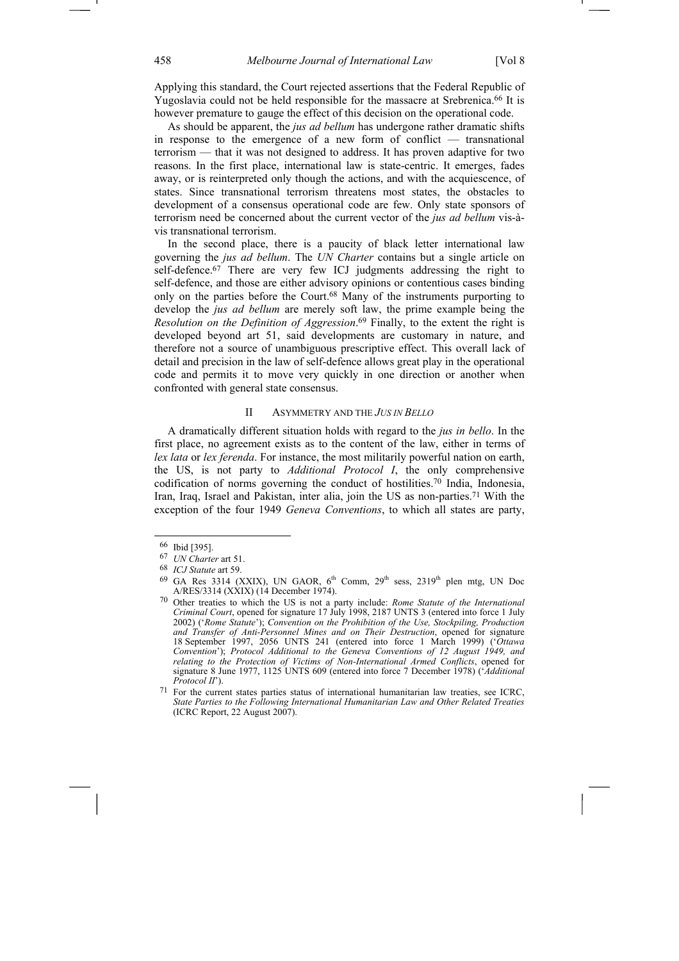Applying this standard, the Court rejected assertions that the Federal Republic of Yugoslavia could not be held responsible for the massacre at Srebrenica.<sup>66</sup> It is however premature to gauge the effect of this decision on the operational code.

As should be apparent, the *jus ad bellum* has undergone rather dramatic shifts in response to the emergence of a new form of conflict — transnational terrorism — that it was not designed to address. It has proven adaptive for two reasons. In the first place, international law is state-centric. It emerges, fades away, or is reinterpreted only though the actions, and with the acquiescence, of states. Since transnational terrorism threatens most states, the obstacles to development of a consensus operational code are few. Only state sponsors of terrorism need be concerned about the current vector of the *jus ad bellum* vis-àvis transnational terrorism.

In the second place, there is a paucity of black letter international law governing the *jus ad bellum*. The *UN Charter* contains but a single article on self-defence.67 There are very few ICJ judgments addressing the right to self-defence, and those are either advisory opinions or contentious cases binding only on the parties before the Court.68 Many of the instruments purporting to develop the *jus ad bellum* are merely soft law, the prime example being the *Resolution on the Definition of Aggression*. 69 Finally, to the extent the right is developed beyond art 51, said developments are customary in nature, and therefore not a source of unambiguous prescriptive effect. This overall lack of detail and precision in the law of self-defence allows great play in the operational code and permits it to move very quickly in one direction or another when confronted with general state consensus.

# II ASYMMETRY AND THE *JUS IN BELLO*

A dramatically different situation holds with regard to the *jus in bello*. In the first place, no agreement exists as to the content of the law, either in terms of *lex lata* or *lex ferenda*. For instance, the most militarily powerful nation on earth, the US, is not party to *Additional Protocol I*, the only comprehensive codification of norms governing the conduct of hostilities.70 India, Indonesia, Iran, Iraq, Israel and Pakistan, inter alia, join the US as non-parties.71 With the exception of the four 1949 *Geneva Conventions*, to which all states are party,

<sup>66</sup> Ibid [395].

<sup>67</sup> *UN Charter* art 51.

<sup>68</sup> *ICJ Statute* art 59.

 $69$  GA Res 3314 (XXIX), UN GAOR,  $6<sup>th</sup>$  Comm,  $29<sup>th</sup>$  sess,  $2319<sup>th</sup>$  plen mtg, UN Doc A/RES/3314 (XXIX) (14 December 1974).

<sup>70</sup> Other treaties to which the US is not a party include: *Rome Statute of the International Criminal Court*, opened for signature 17 July 1998, 2187 UNTS 3 (entered into force 1 July 2002) ('*Rome Statute*'); *Convention on the Prohibition of the Use, Stockpiling, Production and Transfer of Anti-Personnel Mines and on Their Destruction*, opened for signature 18 September 1997, 2056 UNTS 241 (entered into force 1 March 1999) ('*Ottawa Convention*'); *Protocol Additional to the Geneva Conventions of 12 August 1949, and relating to the Protection of Victims of Non-International Armed Conflicts*, opened for signature 8 June 1977, 1125 UNTS 609 (entered into force 7 December 1978) ('*Additional Protocol II*').

 $71$  For the current states parties status of international humanitarian law treaties, see ICRC, *State Parties to the Following International Humanitarian Law and Other Related Treaties* (ICRC Report, 22 August 2007).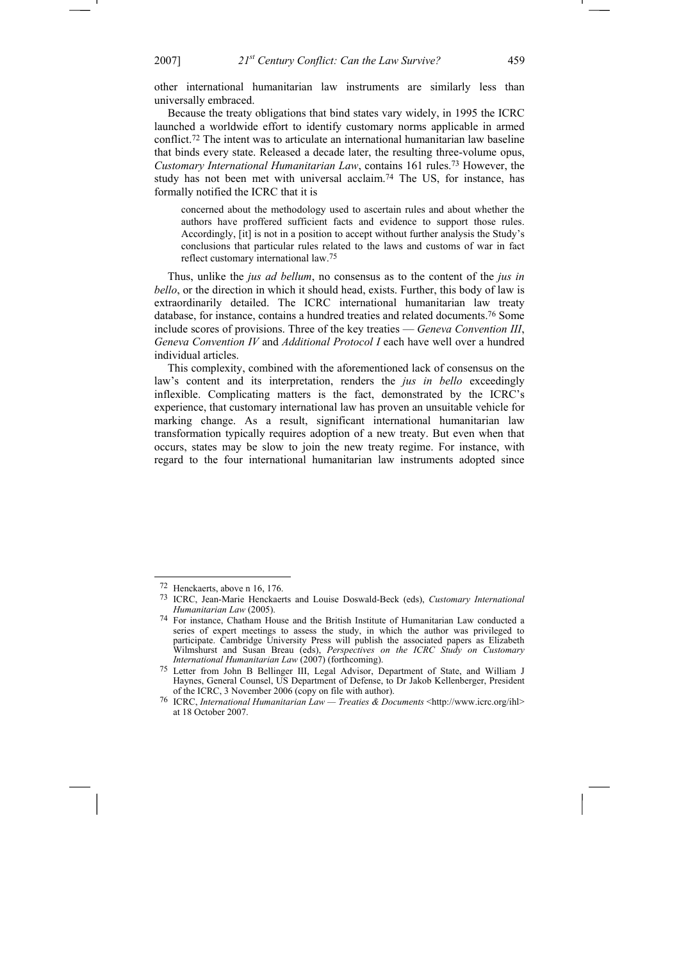other international humanitarian law instruments are similarly less than universally embraced.

Because the treaty obligations that bind states vary widely, in 1995 the ICRC launched a worldwide effort to identify customary norms applicable in armed conflict.72 The intent was to articulate an international humanitarian law baseline that binds every state. Released a decade later, the resulting three-volume opus, *Customary International Humanitarian Law*, contains 161 rules.73 However, the study has not been met with universal acclaim.74 The US, for instance, has formally notified the ICRC that it is

concerned about the methodology used to ascertain rules and about whether the authors have proffered sufficient facts and evidence to support those rules. Accordingly, [it] is not in a position to accept without further analysis the Study's conclusions that particular rules related to the laws and customs of war in fact reflect customary international law.75

Thus, unlike the *jus ad bellum*, no consensus as to the content of the *jus in bello*, or the direction in which it should head, exists. Further, this body of law is extraordinarily detailed. The ICRC international humanitarian law treaty database, for instance, contains a hundred treaties and related documents.76 Some include scores of provisions. Three of the key treaties — *Geneva Convention III*, *Geneva Convention IV* and *Additional Protocol I* each have well over a hundred individual articles.

This complexity, combined with the aforementioned lack of consensus on the law's content and its interpretation, renders the *jus in bello* exceedingly inflexible. Complicating matters is the fact, demonstrated by the ICRC's experience, that customary international law has proven an unsuitable vehicle for marking change. As a result, significant international humanitarian law transformation typically requires adoption of a new treaty. But even when that occurs, states may be slow to join the new treaty regime. For instance, with regard to the four international humanitarian law instruments adopted since

<sup>72</sup> Henckaerts, above n 16, 176.

<sup>73</sup> ICRC, Jean-Marie Henckaerts and Louise Doswald-Beck (eds), *Customary International Humanitarian Law* (2005).

<sup>74</sup> For instance, Chatham House and the British Institute of Humanitarian Law conducted a series of expert meetings to assess the study, in which the author was privileged to participate. Cambridge University Press will publish the associated papers as Elizabeth Wilmshurst and Susan Breau (eds), *Perspectives on the ICRC Study on Customary International Humanitarian Law* (2007) (forthcoming).

<sup>75</sup> Letter from John B Bellinger III, Legal Advisor, Department of State, and William J Haynes, General Counsel, US Department of Defense, to Dr Jakob Kellenberger, President of the ICRC, 3 November 2006 (copy on file with author).

<sup>76</sup> ICRC, *International Humanitarian Law — Treaties & Documents* <http://www.icrc.org/ihl> at 18 October 2007.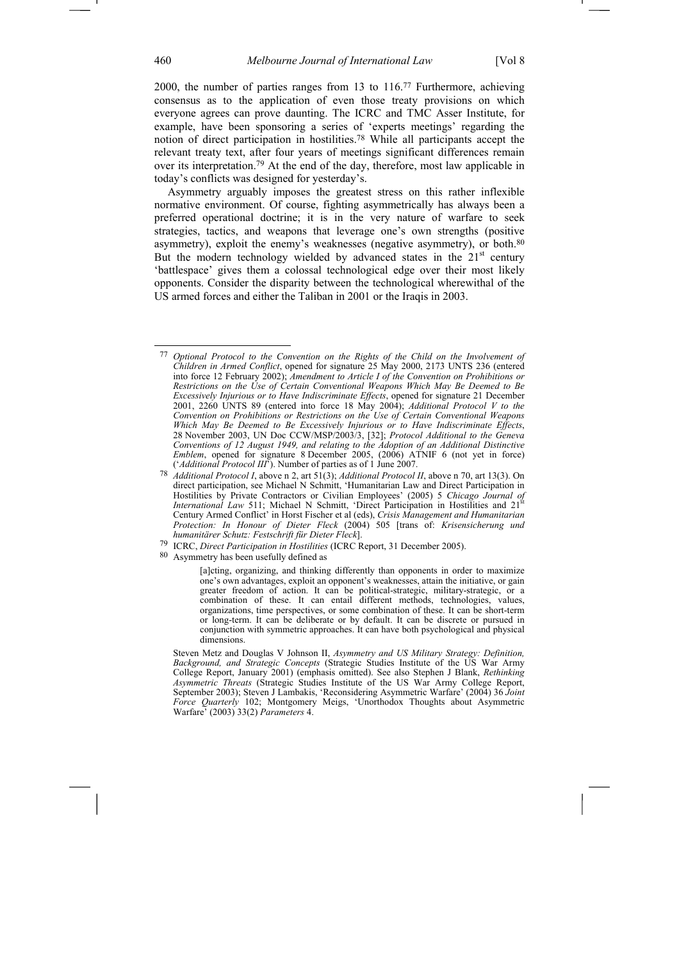2000, the number of parties ranges from 13 to 116.77 Furthermore, achieving consensus as to the application of even those treaty provisions on which everyone agrees can prove daunting. The ICRC and TMC Asser Institute, for example, have been sponsoring a series of 'experts meetings' regarding the notion of direct participation in hostilities.78 While all participants accept the relevant treaty text, after four years of meetings significant differences remain over its interpretation.79 At the end of the day, therefore, most law applicable in today's conflicts was designed for yesterday's.

Asymmetry arguably imposes the greatest stress on this rather inflexible normative environment. Of course, fighting asymmetrically has always been a preferred operational doctrine; it is in the very nature of warfare to seek strategies, tactics, and weapons that leverage one's own strengths (positive asymmetry), exploit the enemy's weaknesses (negative asymmetry), or both.<sup>80</sup> But the modern technology wielded by advanced states in the  $21<sup>st</sup>$  century 'battlespace' gives them a colossal technological edge over their most likely opponents. Consider the disparity between the technological wherewithal of the US armed forces and either the Taliban in 2001 or the Iraqis in 2003.

80 Asymmetry has been usefully defined as

<sup>77</sup> *Optional Protocol to the Convention on the Rights of the Child on the Involvement of Children in Armed Conflict*, opened for signature 25 May 2000, 2173 UNTS 236 (entered into force 12 February 2002); *Amendment to Article I of the Convention on Prohibitions or Restrictions on the Use of Certain Conventional Weapons Which May Be Deemed to Be Excessively Injurious or to Have Indiscriminate Effects*, opened for signature 21 December 2001, 2260 UNTS 89 (entered into force 18 May 2004); *Additional Protocol V to the Convention on Prohibitions or Restrictions on the Use of Certain Conventional Weapons Which May Be Deemed to Be Excessively Injurious or to Have Indiscriminate Effects*, 28 November 2003, UN Doc CCW/MSP/2003/3, [32]; *Protocol Additional to the Geneva Conventions of 12 August 1949, and relating to the Adoption of an Additional Distinctive Emblem*, opened for signature 8 December 2005, (2006) ATNIF 6 (not yet in force) ('*Additional Protocol III*'). Number of parties as of 1 June 2007.

<sup>78</sup> *Additional Protocol I*, above n 2, art 51(3); *Additional Protocol II*, above n 70, art 13(3). On direct participation, see Michael N Schmitt, 'Humanitarian Law and Direct Participation in Hostilities by Private Contractors or Civilian Employees' (2005) 5 *Chicago Journal of International Law* 511; Michael N Schmitt, 'Direct Participation in Hostilities and 21<sup>st</sup> Century Armed Conflict' in Horst Fischer et al (eds), *Crisis Management and Humanitarian Protection: In Honour of Dieter Fleck* (2004) 505 [trans of: *Krisensicherung und humanitärer Schutz: Festschrift für Dieter Fleck*].

<sup>79</sup> ICRC, *Direct Participation in Hostilities* (ICRC Report, 31 December 2005).

<sup>[</sup>a]cting, organizing, and thinking differently than opponents in order to maximize one's own advantages, exploit an opponent's weaknesses, attain the initiative, or gain greater freedom of action. It can be political-strategic, military-strategic, or a combination of these. It can entail different methods, technologies, values, organizations, time perspectives, or some combination of these. It can be short-term or long-term. It can be deliberate or by default. It can be discrete or pursued in conjunction with symmetric approaches. It can have both psychological and physical dimensions.

Steven Metz and Douglas V Johnson II, *Asymmetry and US Military Strategy: Definition, Background, and Strategic Concepts* (Strategic Studies Institute of the US War Army College Report, January 2001) (emphasis omitted). See also Stephen J Blank, *Rethinking Asymmetric Threats* (Strategic Studies Institute of the US War Army College Report, September 2003); Steven J Lambakis, 'Reconsidering Asymmetric Warfare' (2004) 36 *Joint Force Quarterly* 102; Montgomery Meigs, 'Unorthodox Thoughts about Asymmetric Warfare' (2003) 33(2) *Parameters* 4.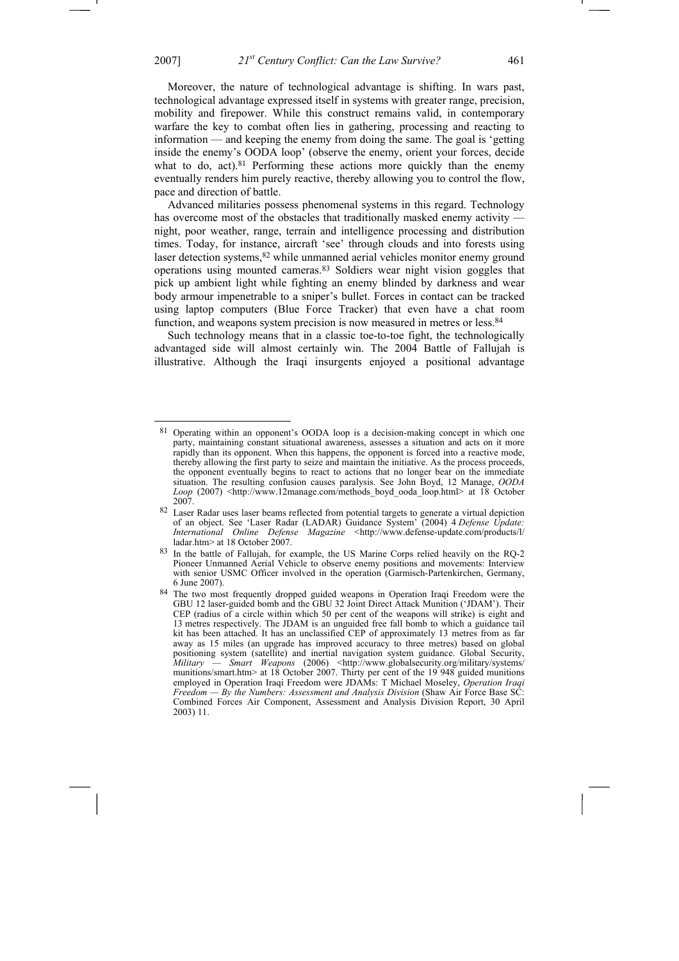Moreover, the nature of technological advantage is shifting. In wars past, technological advantage expressed itself in systems with greater range, precision, mobility and firepower. While this construct remains valid, in contemporary warfare the key to combat often lies in gathering, processing and reacting to information — and keeping the enemy from doing the same. The goal is 'getting inside the enemy's OODA loop' (observe the enemy, orient your forces, decide what to do, act). $81$  Performing these actions more quickly than the enemy eventually renders him purely reactive, thereby allowing you to control the flow, pace and direction of battle.

Advanced militaries possess phenomenal systems in this regard. Technology has overcome most of the obstacles that traditionally masked enemy activity night, poor weather, range, terrain and intelligence processing and distribution times. Today, for instance, aircraft 'see' through clouds and into forests using laser detection systems,82 while unmanned aerial vehicles monitor enemy ground operations using mounted cameras.83 Soldiers wear night vision goggles that pick up ambient light while fighting an enemy blinded by darkness and wear body armour impenetrable to a sniper's bullet. Forces in contact can be tracked using laptop computers (Blue Force Tracker) that even have a chat room function, and weapons system precision is now measured in metres or less.<sup>84</sup>

Such technology means that in a classic toe-to-toe fight, the technologically advantaged side will almost certainly win. The 2004 Battle of Fallujah is illustrative. Although the Iraqi insurgents enjoyed a positional advantage

<sup>81</sup> Operating within an opponent's OODA loop is a decision-making concept in which one party, maintaining constant situational awareness, assesses a situation and acts on it more rapidly than its opponent. When this happens, the opponent is forced into a reactive mode, thereby allowing the first party to seize and maintain the initiative. As the process proceeds, the opponent eventually begins to react to actions that no longer bear on the immediate situation. The resulting confusion causes paralysis. See John Boyd, 12 Manage, *OODA Loop* (2007) <http://www.12manage.com/methods\_boyd\_ooda\_loop.html>\_at 18 October 2007.

 $82$  Laser Radar uses laser beams reflected from potential targets to generate a virtual depiction of an object. See 'Laser Radar (LADAR) Guidance System' (2004) 4 *Defense Update: International Online Defense Magazine* <http://www.defense-update.com/products/l/ ladar.htm> at 18 October 2007.

<sup>83</sup> In the battle of Fallujah, for example, the US Marine Corps relied heavily on the RQ-2 Pioneer Unmanned Aerial Vehicle to observe enemy positions and movements: Interview with senior USMC Officer involved in the operation (Garmisch-Partenkirchen, Germany, 6 June 2007).

<sup>84</sup> The two most frequently dropped guided weapons in Operation Iraqi Freedom were the GBU 12 laser-guided bomb and the GBU 32 Joint Direct Attack Munition ('JDAM'). Their CEP (radius of a circle within which 50 per cent of the weapons will strike) is eight and 13 metres respectively. The JDAM is an unguided free fall bomb to which a guidance tail kit has been attached. It has an unclassified CEP of approximately 13 metres from as far away as 15 miles (an upgrade has improved accuracy to three metres) based on global positioning system (satellite) and inertial navigation system guidance. Global Security, *Military — Smart Weapons* (2006) <http://www.globalsecurity.org/military/systems/ munitions/smart.htm> at 18 October 2007. Thirty per cent of the 19 948 guided munitions employed in Operation Iraqi Freedom were JDAMs: T Michael Moseley, *Operation Iraqi Freedom — By the Numbers: Assessment and Analysis Division* (Shaw Air Force Base SC: Combined Forces Air Component, Assessment and Analysis Division Report, 30 April 2003) 11.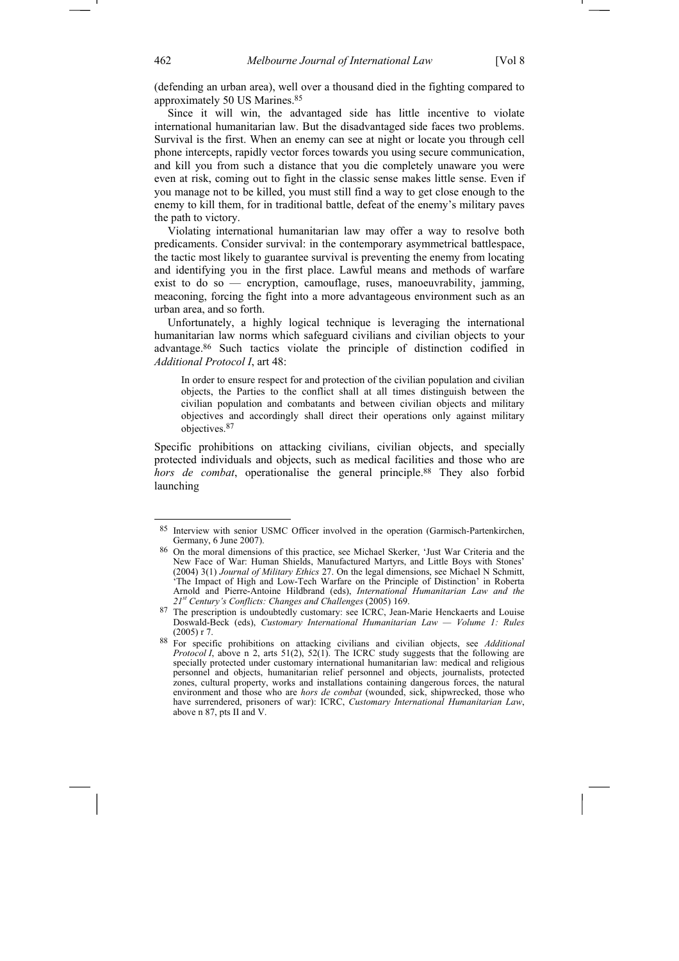(defending an urban area), well over a thousand died in the fighting compared to approximately 50 US Marines.85

Since it will win, the advantaged side has little incentive to violate international humanitarian law. But the disadvantaged side faces two problems. Survival is the first. When an enemy can see at night or locate you through cell phone intercepts, rapidly vector forces towards you using secure communication, and kill you from such a distance that you die completely unaware you were even at risk, coming out to fight in the classic sense makes little sense. Even if you manage not to be killed, you must still find a way to get close enough to the enemy to kill them, for in traditional battle, defeat of the enemy's military paves the path to victory.

Violating international humanitarian law may offer a way to resolve both predicaments. Consider survival: in the contemporary asymmetrical battlespace, the tactic most likely to guarantee survival is preventing the enemy from locating and identifying you in the first place. Lawful means and methods of warfare exist to do so — encryption, camouflage, ruses, manoeuvrability, jamming, meaconing, forcing the fight into a more advantageous environment such as an urban area, and so forth.

Unfortunately, a highly logical technique is leveraging the international humanitarian law norms which safeguard civilians and civilian objects to your advantage.86 Such tactics violate the principle of distinction codified in *Additional Protocol I*, art 48:

In order to ensure respect for and protection of the civilian population and civilian objects, the Parties to the conflict shall at all times distinguish between the civilian population and combatants and between civilian objects and military objectives and accordingly shall direct their operations only against military objectives.87

Specific prohibitions on attacking civilians, civilian objects, and specially protected individuals and objects, such as medical facilities and those who are *hors de combat*, operationalise the general principle.<sup>88</sup> They also forbid launching

<sup>85</sup> Interview with senior USMC Officer involved in the operation (Garmisch-Partenkirchen, Germany, 6 June 2007).

<sup>86</sup> On the moral dimensions of this practice, see Michael Skerker, 'Just War Criteria and the New Face of War: Human Shields, Manufactured Martyrs, and Little Boys with Stones' (2004) 3(1) *Journal of Military Ethics* 27. On the legal dimensions, see Michael N Schmitt, 'The Impact of High and Low-Tech Warfare on the Principle of Distinction' in Roberta Arnold and Pierre-Antoine Hildbrand (eds), *International Humanitarian Law and the 21st Century's Conflicts: Changes and Challenges* (2005) 169.

<sup>87</sup> The prescription is undoubtedly customary: see ICRC, Jean-Marie Henckaerts and Louise Doswald-Beck (eds), *Customary International Humanitarian Law — Volume 1: Rules*  (2005) r 7.

<sup>88</sup> For specific prohibitions on attacking civilians and civilian objects, see *Additional Protocol I*, above n 2, arts 51(2), 52(1). The ICRC study suggests that the following are specially protected under customary international humanitarian law: medical and religious personnel and objects, humanitarian relief personnel and objects, journalists, protected zones, cultural property, works and installations containing dangerous forces, the natural environment and those who are *hors de combat* (wounded, sick, shipwrecked, those who have surrendered, prisoners of war): ICRC, *Customary International Humanitarian Law*, above n 87, pts II and V.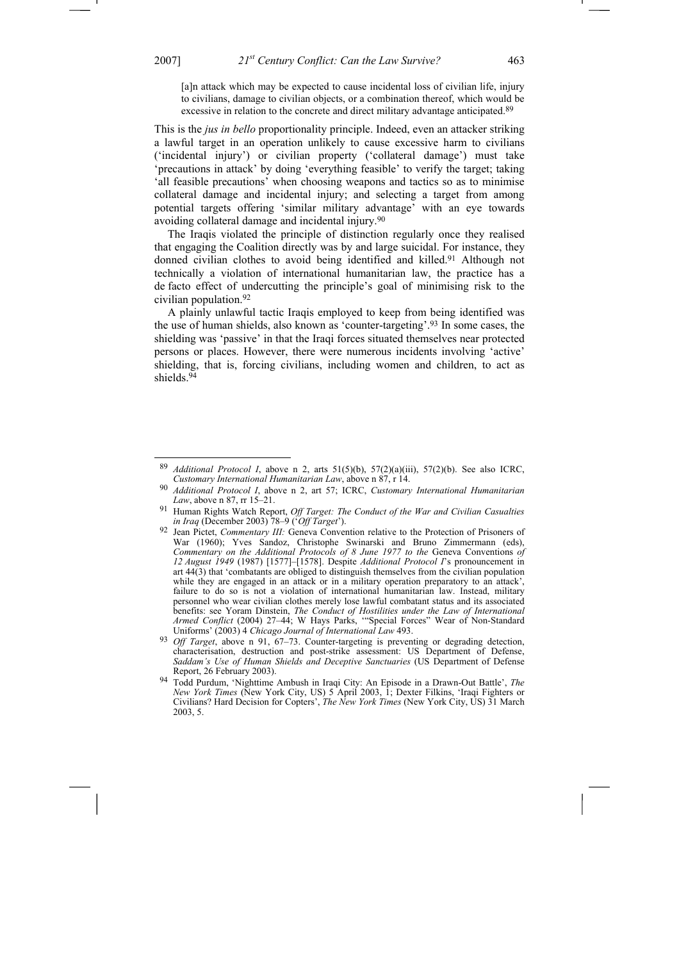-

[a]n attack which may be expected to cause incidental loss of civilian life, injury to civilians, damage to civilian objects, or a combination thereof, which would be excessive in relation to the concrete and direct military advantage anticipated.<sup>89</sup>

This is the *jus in bello* proportionality principle. Indeed, even an attacker striking a lawful target in an operation unlikely to cause excessive harm to civilians ('incidental injury') or civilian property ('collateral damage') must take 'precautions in attack' by doing 'everything feasible' to verify the target; taking 'all feasible precautions' when choosing weapons and tactics so as to minimise collateral damage and incidental injury; and selecting a target from among potential targets offering 'similar military advantage' with an eye towards avoiding collateral damage and incidental injury.90

The Iraqis violated the principle of distinction regularly once they realised that engaging the Coalition directly was by and large suicidal. For instance, they donned civilian clothes to avoid being identified and killed.<sup>91</sup> Although not technically a violation of international humanitarian law, the practice has a de facto effect of undercutting the principle's goal of minimising risk to the civilian population.92

A plainly unlawful tactic Iraqis employed to keep from being identified was the use of human shields, also known as 'counter-targeting'.93 In some cases, the shielding was 'passive' in that the Iraqi forces situated themselves near protected persons or places. However, there were numerous incidents involving 'active' shielding, that is, forcing civilians, including women and children, to act as shields.94

<sup>89</sup> *Additional Protocol I*, above n 2, arts 51(5)(b), 57(2)(a)(iii), 57(2)(b). See also ICRC, *Customary International Humanitarian Law*, above n 87, r 14.

<sup>90</sup> *Additional Protocol I*, above n 2, art 57; ICRC, *Customary International Humanitarian Law*, above n 87, rr 15–21.

<sup>91</sup> Human Rights Watch Report, *Off Target: The Conduct of the War and Civilian Casualties in Iraq* (December 2003) 78–9 ('*Off Target*').

<sup>92</sup> Jean Pictet, *Commentary III:* Geneva Convention relative to the Protection of Prisoners of War (1960); Yves Sandoz, Christophe Swinarski and Bruno Zimmermann (eds), *Commentary on the Additional Protocols of 8 June 1977 to the Geneva Conventions of 12 August 1949* (1987) [1577]–[1578]. Despite *Additional Protocol I*'s pronouncement in art 44(3) that 'combatants are obliged to distinguish themselves from the civilian population while they are engaged in an attack or in a military operation preparatory to an attack', failure to do so is not a violation of international humanitarian law. Instead, military personnel who wear civilian clothes merely lose lawful combatant status and its associated benefits: see Yoram Dinstein, *The Conduct of Hostilities under the Law of International Armed Conflict* (2004) 27–44; W Hays Parks, '"Special Forces" Wear of Non-Standard Uniforms' (2003) 4 *Chicago Journal of International Law* 493.

<sup>93</sup> *Off Target*, above n 91, 67–73. Counter-targeting is preventing or degrading detection, characterisation, destruction and post-strike assessment: US Department of Defense, *Saddam's Use of Human Shields and Deceptive Sanctuaries* (US Department of Defense Report, 26 February 2003).

<sup>94</sup> Todd Purdum, 'Nighttime Ambush in Iraqi City: An Episode in a Drawn-Out Battle', *The New York Times* (New York City, US) 5 April 2003, 1; Dexter Filkins, 'Iraqi Fighters or Civilians? Hard Decision for Copters', *The New York Times* (New York City, US) 31 March 2003, 5.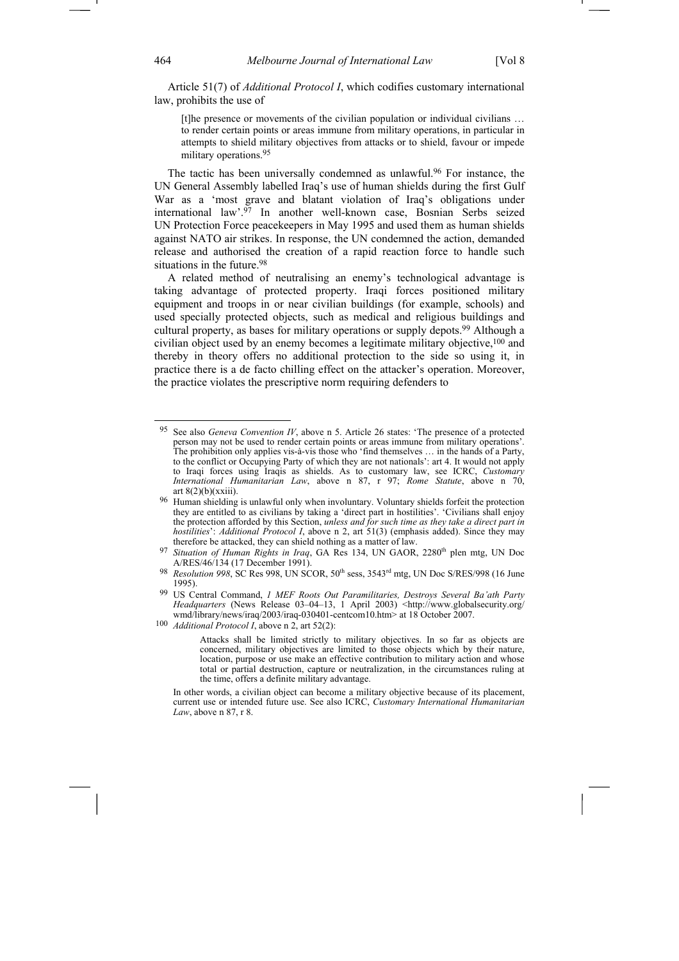Article 51(7) of *Additional Protocol I*, which codifies customary international law, prohibits the use of

[t]he presence or movements of the civilian population or individual civilians ... to render certain points or areas immune from military operations, in particular in attempts to shield military objectives from attacks or to shield, favour or impede military operations.95

The tactic has been universally condemned as unlawful.<sup>96</sup> For instance, the UN General Assembly labelled Iraq's use of human shields during the first Gulf War as a 'most grave and blatant violation of Iraq's obligations under international law'.97 In another well-known case, Bosnian Serbs seized UN Protection Force peacekeepers in May 1995 and used them as human shields against NATO air strikes. In response, the UN condemned the action, demanded release and authorised the creation of a rapid reaction force to handle such situations in the future.<sup>98</sup>

A related method of neutralising an enemy's technological advantage is taking advantage of protected property. Iraqi forces positioned military equipment and troops in or near civilian buildings (for example, schools) and used specially protected objects, such as medical and religious buildings and cultural property, as bases for military operations or supply depots.99 Although a civilian object used by an enemy becomes a legitimate military objective,100 and thereby in theory offers no additional protection to the side so using it, in practice there is a de facto chilling effect on the attacker's operation. Moreover, the practice violates the prescriptive norm requiring defenders to

100 *Additional Protocol I*, above n 2, art 52(2):

<sup>95</sup> See also *Geneva Convention IV*, above n 5. Article 26 states: 'The presence of a protected person may not be used to render certain points or areas immune from military operations'. The prohibition only applies vis-à-vis those who 'find themselves … in the hands of a Party, to the conflict or Occupying Party of which they are not nationals': art 4. It would not apply to Iraqi forces using Iraqis as shields. As to customary law, see ICRC, *Customary International Humanitarian Law*, above n 87, r 97; *Rome Statute*, above n 70, art  $8(2)(b)(xxiii)$ .

<sup>96</sup> Human shielding is unlawful only when involuntary. Voluntary shields forfeit the protection they are entitled to as civilians by taking a 'direct part in hostilities'. 'Civilians shall enjoy the protection afforded by this Section, *unless and for such time as they take a direct part in hostilities*': *Additional Protocol I*, above n 2, art 51(3) (emphasis added). Since they may therefore be attacked, they can shield nothing as a matter of law.

<sup>&</sup>lt;sup>97</sup> Situation of Human Rights in Iraq, GA Res 134, UN GAOR, 2280<sup>th</sup> plen mtg, UN Doc A/RES/46/134 (17 December 1991).

<sup>&</sup>lt;sup>98</sup> *Resolution 998*, SC Res 998, UN SCOR, 50<sup>th</sup> sess, 3543<sup>rd</sup> mtg, UN Doc S/RES/998 (16 June 1995).

<sup>99</sup> US Central Command, *1 MEF Roots Out Paramilitaries, Destroys Several Ba'ath Party Headquarters* (News Release 03–04–13, 1 April 2003) <http://www.globalsecurity.org/ wmd/library/news/iraq/2003/iraq-030401-centcom10.htm> at 18 October 2007.

Attacks shall be limited strictly to military objectives. In so far as objects are concerned, military objectives are limited to those objects which by their nature, location, purpose or use make an effective contribution to military action and whose total or partial destruction, capture or neutralization, in the circumstances ruling at the time, offers a definite military advantage.

In other words, a civilian object can become a military objective because of its placement, current use or intended future use. See also ICRC, *Customary International Humanitarian Law*, above n 87, r 8.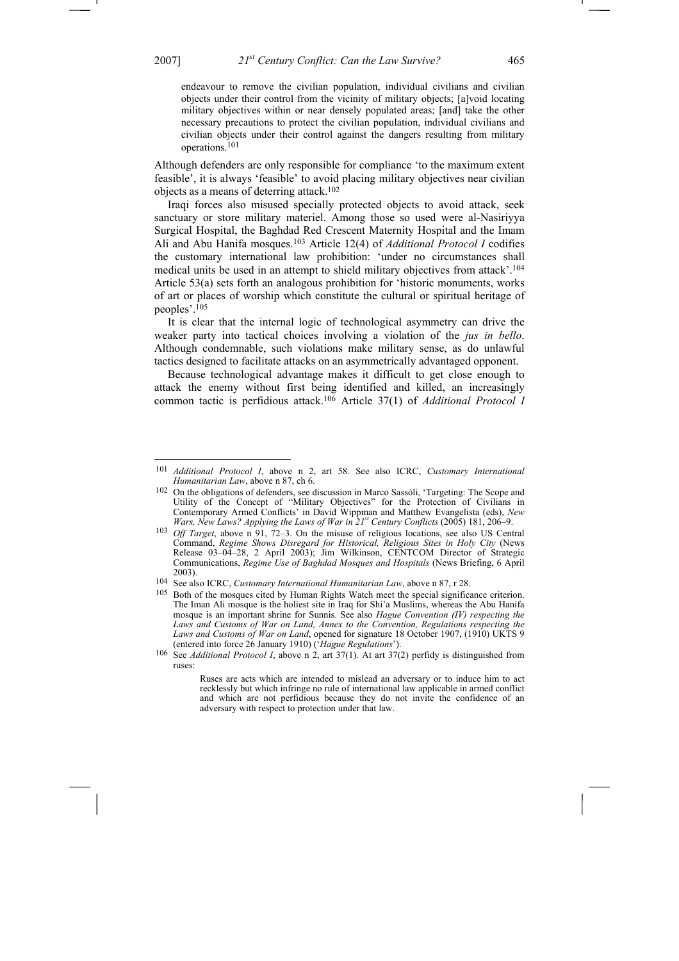-

endeavour to remove the civilian population, individual civilians and civilian objects under their control from the vicinity of military objects; [a]void locating military objectives within or near densely populated areas; [and] take the other necessary precautions to protect the civilian population, individual civilians and civilian objects under their control against the dangers resulting from military operations.101

Although defenders are only responsible for compliance 'to the maximum extent feasible', it is always 'feasible' to avoid placing military objectives near civilian objects as a means of deterring attack.102

Iraqi forces also misused specially protected objects to avoid attack, seek sanctuary or store military materiel. Among those so used were al-Nasiriyya Surgical Hospital, the Baghdad Red Crescent Maternity Hospital and the Imam Ali and Abu Hanifa mosques.103 Article 12(4) of *Additional Protocol I* codifies the customary international law prohibition: 'under no circumstances shall medical units be used in an attempt to shield military objectives from attack'.104 Article 53(a) sets forth an analogous prohibition for 'historic monuments, works of art or places of worship which constitute the cultural or spiritual heritage of peoples'.105

It is clear that the internal logic of technological asymmetry can drive the weaker party into tactical choices involving a violation of the *jus in bello*. Although condemnable, such violations make military sense, as do unlawful tactics designed to facilitate attacks on an asymmetrically advantaged opponent.

Because technological advantage makes it difficult to get close enough to attack the enemy without first being identified and killed, an increasingly common tactic is perfidious attack.106 Article 37(1) of *Additional Protocol I*

<sup>101</sup> *Additional Protocol I*, above n 2, art 58. See also ICRC, *Customary International Humanitarian Law*, above n 87, ch 6.

<sup>102</sup> On the obligations of defenders, see discussion in Marco Sassòli, 'Targeting: The Scope and Utility of the Concept of "Military Objectives" for the Protection of Civilians in Contemporary Armed Conflicts' in David Wippman and Matthew Evangelista (eds), *New Wars, New Laws? Applying the Laws of War in 21st Century Conflicts* (2005) 181, 206–9.

<sup>103</sup> *Off Target*, above n 91, 72–3. On the misuse of religious locations, see also US Central Command, *Regime Shows Disregard for Historical, Religious Sites in Holy City* (News Release 03–04–28, 2 April 2003); Jim Wilkinson, CENTCOM Director of Strategic Communications, *Regime Use of Baghdad Mosques and Hospitals* (News Briefing, 6 April 2003).

<sup>104</sup> See also ICRC, *Customary International Humanitarian Law*, above n 87, r 28.

<sup>&</sup>lt;sup>105</sup> Both of the mosques cited by Human Rights Watch meet the special significance criterion. The Iman Ali mosque is the holiest site in Iraq for Shi'a Muslims, whereas the Abu Hanifa mosque is an important shrine for Sunnis. See also *Hague Convention (IV) respecting the Laws and Customs of War on Land, Annex to the Convention, Regulations respecting the Laws and Customs of War on Land*, opened for signature 18 October 1907, (1910) UKTS 9 (entered into force 26 January 1910) ('*Hague Regulations*').

<sup>106</sup> See *Additional Protocol I*, above n 2, art 37(1). At art 37(2) perfidy is distinguished from ruses:

Ruses are acts which are intended to mislead an adversary or to induce him to act recklessly but which infringe no rule of international law applicable in armed conflict and which are not perfidious because they do not invite the confidence of an adversary with respect to protection under that law.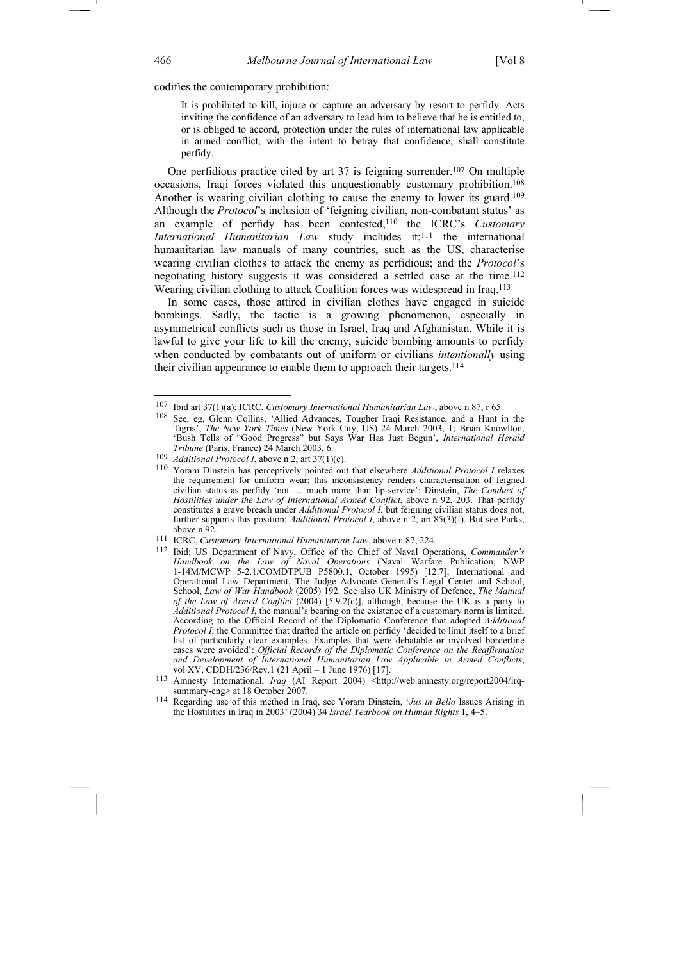codifies the contemporary prohibition:

It is prohibited to kill, injure or capture an adversary by resort to perfidy. Acts inviting the confidence of an adversary to lead him to believe that he is entitled to, or is obliged to accord, protection under the rules of international law applicable in armed conflict, with the intent to betray that confidence, shall constitute perfidy.

One perfidious practice cited by art 37 is feigning surrender.107 On multiple occasions, Iraqi forces violated this unquestionably customary prohibition.108 Another is wearing civilian clothing to cause the enemy to lower its guard.<sup>109</sup> Although the *Protocol*'s inclusion of 'feigning civilian, non-combatant status' as an example of perfidy has been contested,110 the ICRC's *Customary International Humanitarian Law* study includes it;111 the international humanitarian law manuals of many countries, such as the US, characterise wearing civilian clothes to attack the enemy as perfidious; and the *Protocol*'s negotiating history suggests it was considered a settled case at the time.112 Wearing civilian clothing to attack Coalition forces was widespread in Iraq.113

In some cases, those attired in civilian clothes have engaged in suicide bombings. Sadly, the tactic is a growing phenomenon, especially in asymmetrical conflicts such as those in Israel, Iraq and Afghanistan. While it is lawful to give your life to kill the enemy, suicide bombing amounts to perfidy when conducted by combatants out of uniform or civilians *intentionally* using their civilian appearance to enable them to approach their targets.114

<sup>107</sup> Ibid art 37(1)(a); ICRC, *Customary International Humanitarian Law*, above n 87, r 65.

<sup>108</sup> See, eg, Glenn Collins, 'Allied Advances, Tougher Iraqi Resistance, and a Hunt in the Tigris', *The New York Times* (New York City, US) 24 March 2003, 1; Brian Knowlton, 'Bush Tells of "Good Progress" but Says War Has Just Begun', *International Herald Tribune* (Paris, France) 24 March 2003, 6.

<sup>109</sup> *Additional Protocol I*, above n 2, art 37(1)(c).

<sup>110</sup> Yoram Dinstein has perceptively pointed out that elsewhere *Additional Protocol I* relaxes the requirement for uniform wear; this inconsistency renders characterisation of feigned civilian status as perfidy 'not … much more than lip-service': Dinstein, *The Conduct of*  Hostilities under the Law of International Armed Conflict, above n 92, 203. That perfidy constitutes a grave breach under *Additional Protocol I*, but feigning civilian status does not, further supports this position: *Additional Protocol I*, above n 2, art 85(3)(f). But see Parks, above n 92.

<sup>111</sup> ICRC, *Customary International Humanitarian Law*, above n 87, 224.

<sup>112</sup> Ibid; US Department of Navy, Office of the Chief of Naval Operations, *Commander's Handbook on the Law of Naval Operations* (Naval Warfare Publication, NWP 1-14M/MCWP 5-2.1/COMDTPUB P5800.1, October 1995) [12.7]; International and Operational Law Department, The Judge Advocate General's Legal Center and School, School, *Law of War Handbook* (2005) 192. See also UK Ministry of Defence, *The Manual of the Law of Armed Conflict* (2004) [5.9.2(c)], although, because the UK is a party to *Additional Protocol I*, the manual's bearing on the existence of a customary norm is limited. According to the Official Record of the Diplomatic Conference that adopted *Additional Protocol I*, the Committee that drafted the article on perfidy 'decided to limit itself to a brief list of particularly clear examples. Examples that were debatable or involved borderline cases were avoided': *Official Records of the Diplomatic Conference on the Reaffirmation and Development of International Humanitarian Law Applicable in Armed Conflicts*, vol XV, CDDH/236/Rev.1 (21 April – 1 June 1976) [17].

<sup>113</sup> Amnesty International, *Iraq* (AI Report 2004) <http://web.amnesty.org/report2004/irqsummary-eng> at 18 October 2007.

<sup>114</sup> Regarding use of this method in Iraq, see Yoram Dinstein, '*Jus in Bello* Issues Arising in the Hostilities in Iraq in 2003' (2004) 34 *Israel Yearbook on Human Rights* 1, 4–5.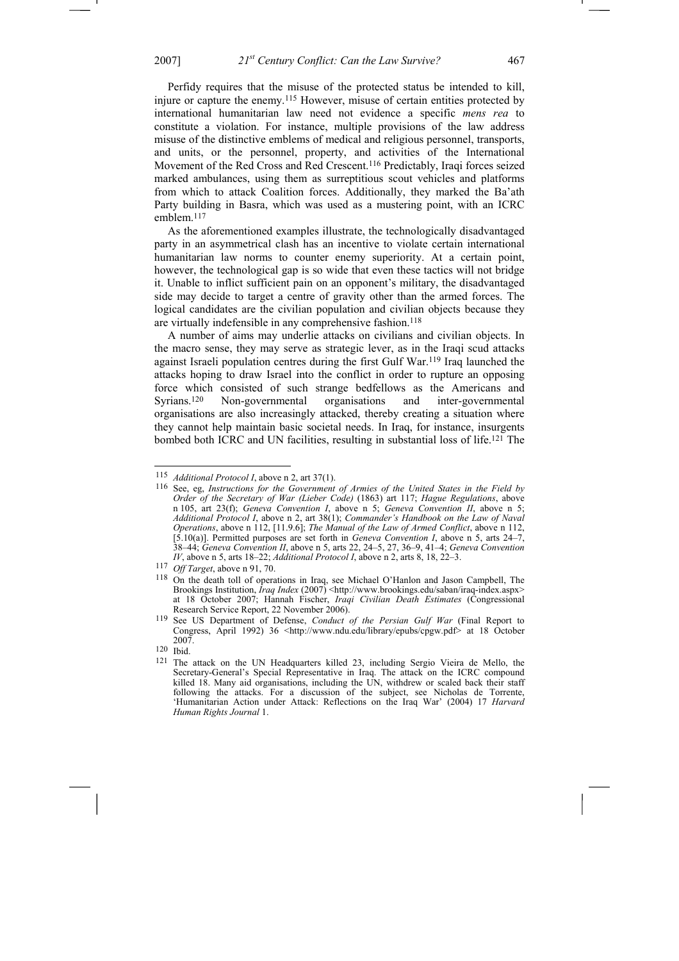Perfidy requires that the misuse of the protected status be intended to kill, injure or capture the enemy.115 However, misuse of certain entities protected by international humanitarian law need not evidence a specific *mens rea* to constitute a violation. For instance, multiple provisions of the law address misuse of the distinctive emblems of medical and religious personnel, transports, and units, or the personnel, property, and activities of the International Movement of the Red Cross and Red Crescent.116 Predictably, Iraqi forces seized marked ambulances, using them as surreptitious scout vehicles and platforms from which to attack Coalition forces. Additionally, they marked the Ba'ath Party building in Basra, which was used as a mustering point, with an ICRC emblem.117

As the aforementioned examples illustrate, the technologically disadvantaged party in an asymmetrical clash has an incentive to violate certain international humanitarian law norms to counter enemy superiority. At a certain point, however, the technological gap is so wide that even these tactics will not bridge it. Unable to inflict sufficient pain on an opponent's military, the disadvantaged side may decide to target a centre of gravity other than the armed forces. The logical candidates are the civilian population and civilian objects because they are virtually indefensible in any comprehensive fashion.<sup>118</sup>

A number of aims may underlie attacks on civilians and civilian objects. In the macro sense, they may serve as strategic lever, as in the Iraqi scud attacks against Israeli population centres during the first Gulf War.119 Iraq launched the attacks hoping to draw Israel into the conflict in order to rupture an opposing force which consisted of such strange bedfellows as the Americans and Syrians.120 Non-governmental organisations and inter-governmental organisations are also increasingly attacked, thereby creating a situation where they cannot help maintain basic societal needs. In Iraq, for instance, insurgents bombed both ICRC and UN facilities, resulting in substantial loss of life.121 The

<sup>115</sup> *Additional Protocol I*, above n 2, art 37(1).

<sup>116</sup> See, eg, *Instructions for the Government of Armies of the United States in the Field by Order of the Secretary of War (Lieber Code)* (1863) art 117; *Hague Regulations*, above n 105, art 23(f); *Geneva Convention I*, above n 5; *Geneva Convention II*, above n 5; *Additional Protocol I*, above n 2, art 38(1); *Commander's Handbook on the Law of Naval Operations*, above n 112, [11.9.6]; *The Manual of the Law of Armed Conflict*, above n 112, [5.10(a)]. Permitted purposes are set forth in *Geneva Convention I*, above n 5, arts 24–7, 38–44; *Geneva Convention II*, above n 5, arts 22, 24–5, 27, 36–9, 41–4; *Geneva Convention IV*, above n 5, arts 18–22; *Additional Protocol I*, above n 2, arts 8, 18, 22–3.

<sup>117</sup> *Off Target*, above n 91, 70.

<sup>118</sup> On the death toll of operations in Iraq, see Michael O'Hanlon and Jason Campbell, The Brookings Institution, *Iraq Index* (2007) <http://www.brookings.edu/saban/iraq-index.aspx> at 18 October 2007; Hannah Fischer, *Iraqi Civilian Death Estimates* (Congressional Research Service Report, 22 November 2006).

<sup>119</sup> See US Department of Defense, *Conduct of the Persian Gulf War* (Final Report to Congress, April 1992) 36 <http://www.ndu.edu/library/epubs/cpgw.pdf> at 18 October 2007.

<sup>120</sup> Ibid.

<sup>121</sup> The attack on the UN Headquarters killed 23, including Sergio Vieira de Mello, the Secretary-General's Special Representative in Iraq. The attack on the ICRC compound killed 18. Many aid organisations, including the UN, withdrew or scaled back their staff following the attacks. For a discussion of the subject, see Nicholas de Torrente, 'Humanitarian Action under Attack: Reflections on the Iraq War' (2004) 17 *Harvard Human Rights Journal* 1.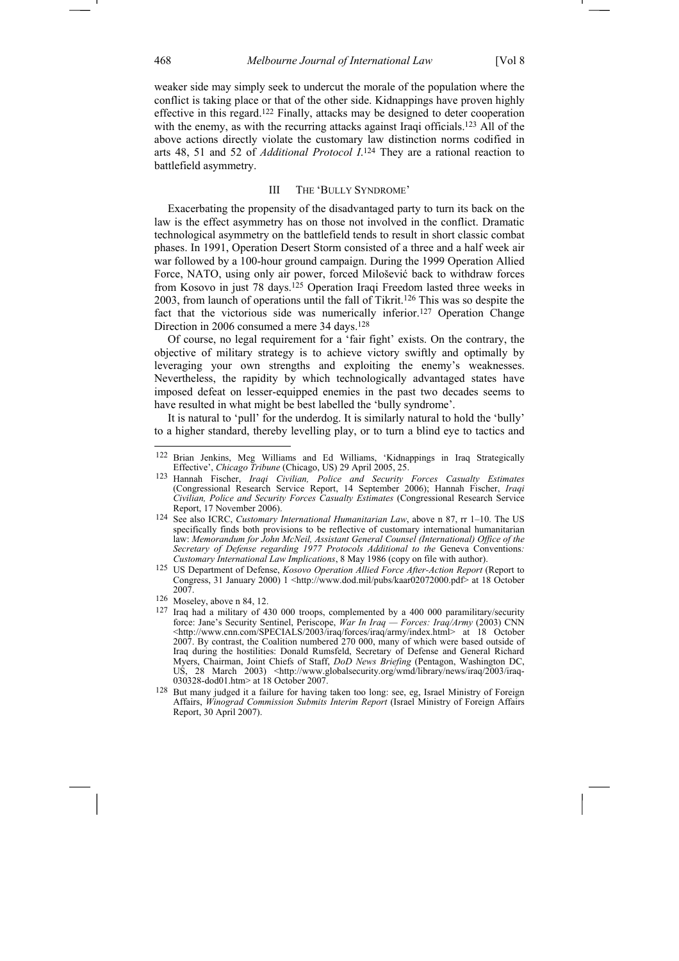weaker side may simply seek to undercut the morale of the population where the conflict is taking place or that of the other side. Kidnappings have proven highly effective in this regard.122 Finally, attacks may be designed to deter cooperation with the enemy, as with the recurring attacks against Iraqi officials.<sup>123</sup> All of the above actions directly violate the customary law distinction norms codified in arts 48, 51 and 52 of *Additional Protocol I*. 124 They are a rational reaction to battlefield asymmetry.

# III THE 'BULLY SYNDROME'

Exacerbating the propensity of the disadvantaged party to turn its back on the law is the effect asymmetry has on those not involved in the conflict. Dramatic technological asymmetry on the battlefield tends to result in short classic combat phases. In 1991, Operation Desert Storm consisted of a three and a half week air war followed by a 100-hour ground campaign. During the 1999 Operation Allied Force, NATO, using only air power, forced Milošević back to withdraw forces from Kosovo in just 78 days.125 Operation Iraqi Freedom lasted three weeks in 2003, from launch of operations until the fall of Tikrit.126 This was so despite the fact that the victorious side was numerically inferior.<sup>127</sup> Operation Change Direction in 2006 consumed a mere 34 days.128

Of course, no legal requirement for a 'fair fight' exists. On the contrary, the objective of military strategy is to achieve victory swiftly and optimally by leveraging your own strengths and exploiting the enemy's weaknesses. Nevertheless, the rapidity by which technologically advantaged states have imposed defeat on lesser-equipped enemies in the past two decades seems to have resulted in what might be best labelled the 'bully syndrome'.

It is natural to 'pull' for the underdog. It is similarly natural to hold the 'bully' to a higher standard, thereby levelling play, or to turn a blind eye to tactics and

<sup>122</sup> Brian Jenkins, Meg Williams and Ed Williams, 'Kidnappings in Iraq Strategically Effective', *Chicago Tribune* (Chicago, US) 29 April 2005, 25.

<sup>123</sup> Hannah Fischer, *Iraqi Civilian, Police and Security Forces Casualty Estimates* (Congressional Research Service Report, 14 September 2006); Hannah Fischer, *Iraqi Civilian, Police and Security Forces Casualty Estimates* (Congressional Research Service Report, 17 November 2006).

<sup>124</sup> See also ICRC, *Customary International Humanitarian Law*, above n 87, rr 1–10. The US specifically finds both provisions to be reflective of customary international humanitarian law: *Memorandum for John McNeil, Assistant General Counsel (International) Office of the Secretary of Defense regarding 1977 Protocols Additional to the* Geneva Conventions*: Customary International Law Implications*, 8 May 1986 (copy on file with author).

<sup>125</sup> US Department of Defense, *Kosovo Operation Allied Force After-Action Report* (Report to Congress, 31 January 2000) 1 <http://www.dod.mil/pubs/kaar02072000.pdf> at 18 October 2007.

<sup>126</sup> Moseley, above n 84, 12.

<sup>127</sup> Iraq had a military of 430 000 troops, complemented by a 400 000 paramilitary/security force: Jane's Security Sentinel, Periscope, *War In Iraq — Forces: Iraq/Army* (2003) CNN <http://www.cnn.com/SPECIALS/2003/iraq/forces/iraq/army/index.html> at 18 October 2007. By contrast, the Coalition numbered 270 000, many of which were based outside of Iraq during the hostilities: Donald Rumsfeld, Secretary of Defense and General Richard Myers, Chairman, Joint Chiefs of Staff, *DoD News Briefing* (Pentagon, Washington DC, US, 28 March 2003) <http://www.globalsecurity.org/wmd/library/news/iraq/2003/iraq-030328-dod01.htm> at 18 October 2007.

<sup>128</sup> But many judged it a failure for having taken too long: see, eg, Israel Ministry of Foreign Affairs, *Winograd Commission Submits Interim Report* (Israel Ministry of Foreign Affairs Report, 30 April 2007).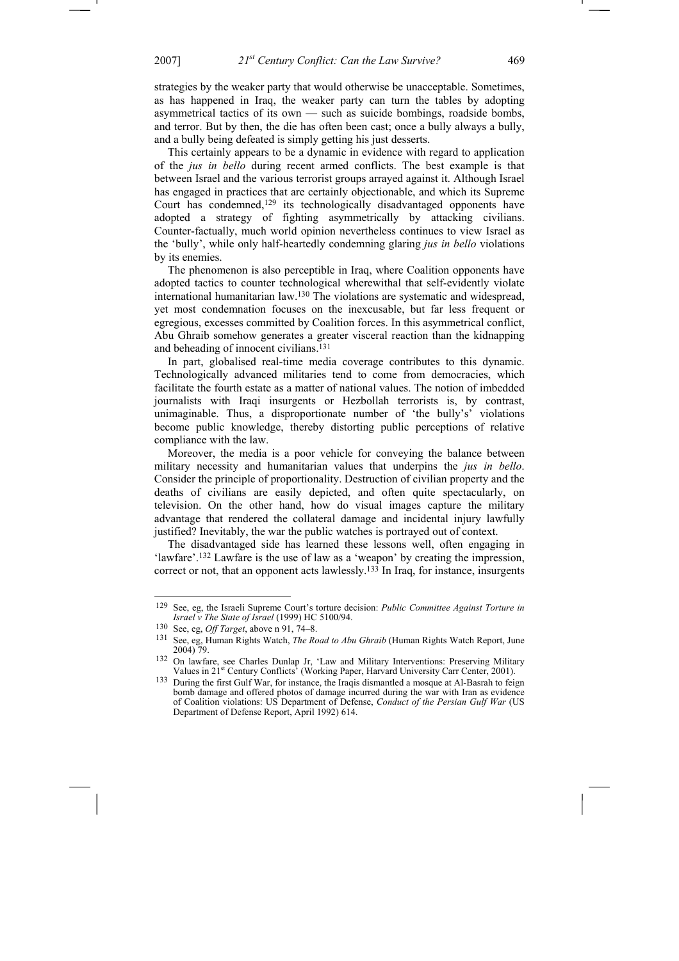strategies by the weaker party that would otherwise be unacceptable. Sometimes, as has happened in Iraq, the weaker party can turn the tables by adopting asymmetrical tactics of its own — such as suicide bombings, roadside bombs, and terror. But by then, the die has often been cast; once a bully always a bully, and a bully being defeated is simply getting his just desserts.

This certainly appears to be a dynamic in evidence with regard to application of the *jus in bello* during recent armed conflicts. The best example is that between Israel and the various terrorist groups arrayed against it. Although Israel has engaged in practices that are certainly objectionable, and which its Supreme Court has condemned,129 its technologically disadvantaged opponents have adopted a strategy of fighting asymmetrically by attacking civilians. Counter-factually, much world opinion nevertheless continues to view Israel as the 'bully', while only half-heartedly condemning glaring *jus in bello* violations by its enemies.

The phenomenon is also perceptible in Iraq, where Coalition opponents have adopted tactics to counter technological wherewithal that self-evidently violate international humanitarian law.130 The violations are systematic and widespread, yet most condemnation focuses on the inexcusable, but far less frequent or egregious, excesses committed by Coalition forces. In this asymmetrical conflict, Abu Ghraib somehow generates a greater visceral reaction than the kidnapping and beheading of innocent civilians.131

In part, globalised real-time media coverage contributes to this dynamic. Technologically advanced militaries tend to come from democracies, which facilitate the fourth estate as a matter of national values. The notion of imbedded journalists with Iraqi insurgents or Hezbollah terrorists is, by contrast, unimaginable. Thus, a disproportionate number of 'the bully's' violations become public knowledge, thereby distorting public perceptions of relative compliance with the law.

Moreover, the media is a poor vehicle for conveying the balance between military necessity and humanitarian values that underpins the *jus in bello*. Consider the principle of proportionality. Destruction of civilian property and the deaths of civilians are easily depicted, and often quite spectacularly, on television. On the other hand, how do visual images capture the military advantage that rendered the collateral damage and incidental injury lawfully justified? Inevitably, the war the public watches is portrayed out of context.

The disadvantaged side has learned these lessons well, often engaging in 'lawfare'.<sup>132</sup> Lawfare is the use of law as a 'weapon' by creating the impression, correct or not, that an opponent acts lawlessly.133 In Iraq, for instance, insurgents

<sup>129</sup> See, eg, the Israeli Supreme Court's torture decision: *Public Committee Against Torture in Israel v The State of Israel* (1999) HC 5100/94.

<sup>130</sup> See, eg, *Off Target*, above n 91, 74–8.

<sup>131</sup> See, eg, Human Rights Watch, *The Road to Abu Ghraib* (Human Rights Watch Report, June 2004) 79.

<sup>132</sup> On lawfare, see Charles Dunlap Jr, 'Law and Military Interventions: Preserving Military Values in 21<sup>st</sup> Century Conflicts<sup>3</sup> (Working Paper, Harvard University Carr Center, 2001).

<sup>133</sup> During the first Gulf War, for instance, the Iraqis dismantled a mosque at Al-Basrah to feign bomb damage and offered photos of damage incurred during the war with Iran as evidence of Coalition violations: US Department of Defense, *Conduct of the Persian Gulf War* (US Department of Defense Report, April 1992) 614.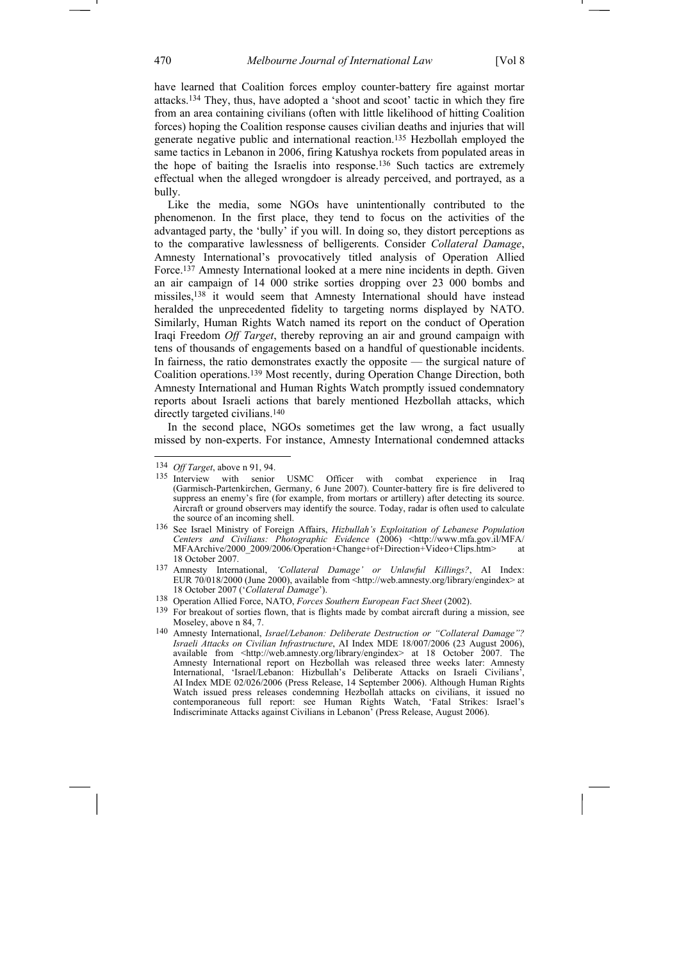have learned that Coalition forces employ counter-battery fire against mortar attacks.134 They, thus, have adopted a 'shoot and scoot' tactic in which they fire from an area containing civilians (often with little likelihood of hitting Coalition forces) hoping the Coalition response causes civilian deaths and injuries that will generate negative public and international reaction.135 Hezbollah employed the same tactics in Lebanon in 2006, firing Katushya rockets from populated areas in the hope of baiting the Israelis into response.136 Such tactics are extremely effectual when the alleged wrongdoer is already perceived, and portrayed, as a bully.

Like the media, some NGOs have unintentionally contributed to the phenomenon. In the first place, they tend to focus on the activities of the advantaged party, the 'bully' if you will. In doing so, they distort perceptions as to the comparative lawlessness of belligerents. Consider *Collateral Damage*, Amnesty International's provocatively titled analysis of Operation Allied Force.137 Amnesty International looked at a mere nine incidents in depth. Given an air campaign of 14 000 strike sorties dropping over 23 000 bombs and missiles,138 it would seem that Amnesty International should have instead heralded the unprecedented fidelity to targeting norms displayed by NATO. Similarly, Human Rights Watch named its report on the conduct of Operation Iraqi Freedom *Off Target*, thereby reproving an air and ground campaign with tens of thousands of engagements based on a handful of questionable incidents. In fairness, the ratio demonstrates exactly the opposite — the surgical nature of Coalition operations.139 Most recently, during Operation Change Direction, both Amnesty International and Human Rights Watch promptly issued condemnatory reports about Israeli actions that barely mentioned Hezbollah attacks, which directly targeted civilians.140

In the second place, NGOs sometimes get the law wrong, a fact usually missed by non-experts. For instance, Amnesty International condemned attacks

<sup>134</sup> *Off Target*, above n 91, 94.

<sup>135</sup> Interview with senior USMC Officer with combat experience in Iraq (Garmisch-Partenkirchen, Germany, 6 June 2007). Counter-battery fire is fire delivered to suppress an enemy's fire (for example, from mortars or artillery) after detecting its source. Aircraft or ground observers may identify the source. Today, radar is often used to calculate the source of an incoming shell.

<sup>136</sup> See Israel Ministry of Foreign Affairs, *Hizbullah's Exploitation of Lebanese Population Centers and Civilians: Photographic Evidence* (2006) <http://www.mfa.gov.il/MFA/ MFAArchive/2000\_2009/2006/Operation+Change+of+Direction+Video+Clips.htm> at 18 October 2007.

<sup>137</sup> Amnesty International, *'Collateral Damage' or Unlawful Killings?*, AI Index: EUR 70/018/2000 (June 2000), available from <http://web.amnesty.org/library/engindex> at 18 October 2007 ('*Collateral Damage*').

<sup>138</sup> Operation Allied Force, NATO, *Forces Southern European Fact Sheet* (2002).

<sup>139</sup> For breakout of sorties flown, that is flights made by combat aircraft during a mission, see Moseley, above n 84, 7.

<sup>140</sup> Amnesty International, *Israel/Lebanon: Deliberate Destruction or "Collateral Damage"? Israeli Attacks on Civilian Infrastructure*, AI Index MDE 18/007/2006 (23 August 2006), available from <http://web.amnesty.org/library/engindex> at 18 October 2007. The Amnesty International report on Hezbollah was released three weeks later: Amnesty International, 'Israel/Lebanon: Hizbullah's Deliberate Attacks on Israeli Civilians', AI Index MDE 02/026/2006 (Press Release, 14 September 2006). Although Human Rights Watch issued press releases condemning Hezbollah attacks on civilians, it issued no contemporaneous full report: see Human Rights Watch, 'Fatal Strikes: Israel's Indiscriminate Attacks against Civilians in Lebanon' (Press Release, August 2006).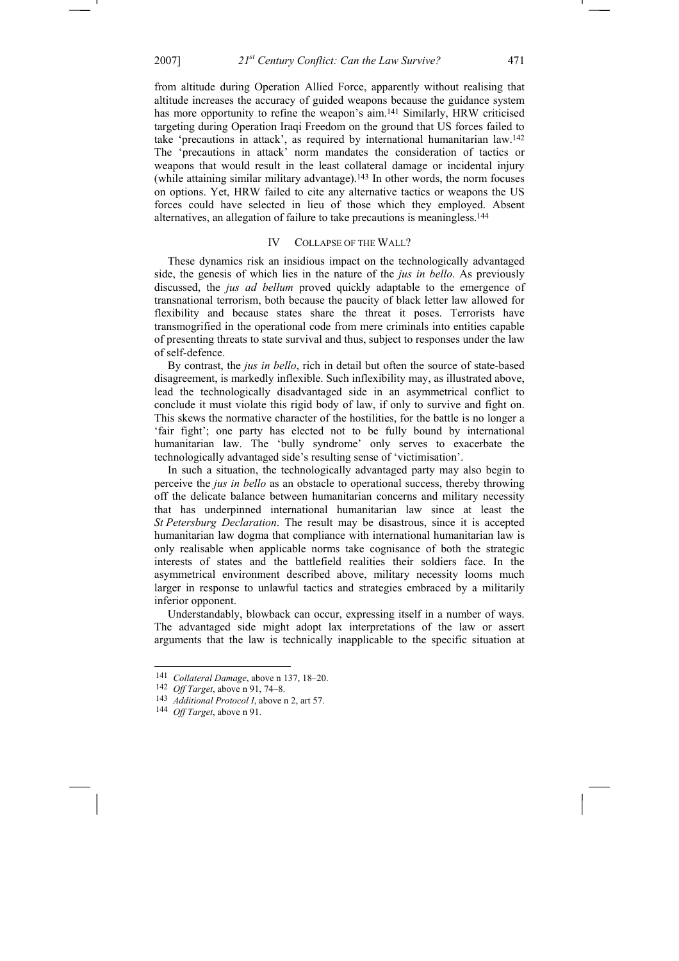from altitude during Operation Allied Force, apparently without realising that altitude increases the accuracy of guided weapons because the guidance system has more opportunity to refine the weapon's aim.<sup>141</sup> Similarly, HRW criticised targeting during Operation Iraqi Freedom on the ground that US forces failed to take 'precautions in attack', as required by international humanitarian law.142 The 'precautions in attack' norm mandates the consideration of tactics or weapons that would result in the least collateral damage or incidental injury (while attaining similar military advantage).143 In other words, the norm focuses on options. Yet, HRW failed to cite any alternative tactics or weapons the US forces could have selected in lieu of those which they employed. Absent alternatives, an allegation of failure to take precautions is meaningless.144

### IV COLLAPSE OF THE WALL?

These dynamics risk an insidious impact on the technologically advantaged side, the genesis of which lies in the nature of the *jus in bello*. As previously discussed, the *jus ad bellum* proved quickly adaptable to the emergence of transnational terrorism, both because the paucity of black letter law allowed for flexibility and because states share the threat it poses. Terrorists have transmogrified in the operational code from mere criminals into entities capable of presenting threats to state survival and thus, subject to responses under the law of self-defence.

By contrast, the *jus in bello*, rich in detail but often the source of state-based disagreement, is markedly inflexible. Such inflexibility may, as illustrated above, lead the technologically disadvantaged side in an asymmetrical conflict to conclude it must violate this rigid body of law, if only to survive and fight on. This skews the normative character of the hostilities, for the battle is no longer a 'fair fight'; one party has elected not to be fully bound by international humanitarian law. The 'bully syndrome' only serves to exacerbate the technologically advantaged side's resulting sense of 'victimisation'.

In such a situation, the technologically advantaged party may also begin to perceive the *jus in bello* as an obstacle to operational success, thereby throwing off the delicate balance between humanitarian concerns and military necessity that has underpinned international humanitarian law since at least the *St Petersburg Declaration*. The result may be disastrous, since it is accepted humanitarian law dogma that compliance with international humanitarian law is only realisable when applicable norms take cognisance of both the strategic interests of states and the battlefield realities their soldiers face. In the asymmetrical environment described above, military necessity looms much larger in response to unlawful tactics and strategies embraced by a militarily inferior opponent.

Understandably, blowback can occur, expressing itself in a number of ways. The advantaged side might adopt lax interpretations of the law or assert arguments that the law is technically inapplicable to the specific situation at

<sup>141</sup> *Collateral Damage*, above n 137, 18–20.

<sup>142</sup> *Off Target*, above n 91, 74–8.

<sup>143</sup> *Additional Protocol I*, above n 2, art 57.

<sup>144</sup> *Off Target*, above n 91.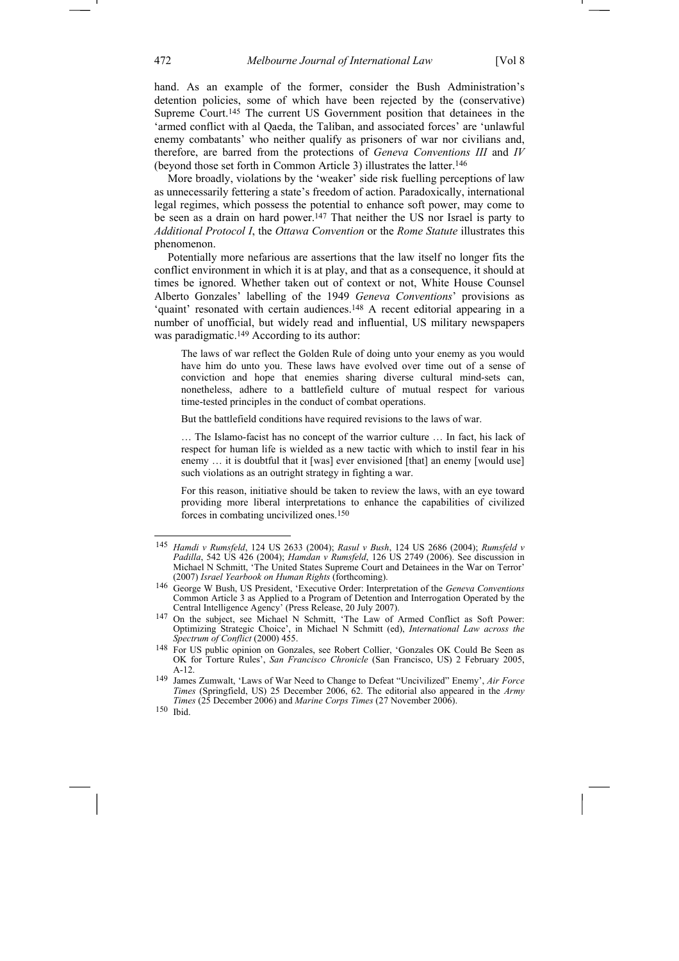hand. As an example of the former, consider the Bush Administration's detention policies, some of which have been rejected by the (conservative) Supreme Court.145 The current US Government position that detainees in the 'armed conflict with al Qaeda, the Taliban, and associated forces' are 'unlawful enemy combatants' who neither qualify as prisoners of war nor civilians and, therefore, are barred from the protections of *Geneva Conventions III* and *IV* (beyond those set forth in Common Article 3) illustrates the latter.146

More broadly, violations by the 'weaker' side risk fuelling perceptions of law as unnecessarily fettering a state's freedom of action. Paradoxically, international legal regimes, which possess the potential to enhance soft power, may come to be seen as a drain on hard power.<sup>147</sup> That neither the US nor Israel is party to *Additional Protocol I*, the *Ottawa Convention* or the *Rome Statute* illustrates this phenomenon.

Potentially more nefarious are assertions that the law itself no longer fits the conflict environment in which it is at play, and that as a consequence, it should at times be ignored. Whether taken out of context or not, White House Counsel Alberto Gonzales' labelling of the 1949 *Geneva Conventions*' provisions as 'quaint' resonated with certain audiences.148 A recent editorial appearing in a number of unofficial, but widely read and influential, US military newspapers was paradigmatic.<sup>149</sup> According to its author:

The laws of war reflect the Golden Rule of doing unto your enemy as you would have him do unto you. These laws have evolved over time out of a sense of conviction and hope that enemies sharing diverse cultural mind-sets can, nonetheless, adhere to a battlefield culture of mutual respect for various time-tested principles in the conduct of combat operations.

But the battlefield conditions have required revisions to the laws of war.

… The Islamo-facist has no concept of the warrior culture … In fact, his lack of respect for human life is wielded as a new tactic with which to instil fear in his enemy ... it is doubtful that it [was] ever envisioned [that] an enemy [would use] such violations as an outright strategy in fighting a war.

For this reason, initiative should be taken to review the laws, with an eye toward providing more liberal interpretations to enhance the capabilities of civilized forces in combating uncivilized ones.150

<sup>145</sup> *Hamdi v Rumsfeld*, 124 US 2633 (2004); *Rasul v Bush*, 124 US 2686 (2004); *Rumsfeld v Padilla*, 542 US 426 (2004); *Hamdan v Rumsfeld*, 126 US 2749 (2006). See discussion in Michael N Schmitt, 'The United States Supreme Court and Detainees in the War on Terror' (2007) *Israel Yearbook on Human Rights* (forthcoming).

<sup>146</sup> George W Bush, US President, 'Executive Order: Interpretation of the *Geneva Conventions* Common Article 3 as Applied to a Program of Detention and Interrogation Operated by the Central Intelligence Agency' (Press Release, 20 July 2007).

<sup>147</sup> On the subject, see Michael N Schmitt, 'The Law of Armed Conflict as Soft Power: Optimizing Strategic Choice', in Michael N Schmitt (ed), *International Law across the Spectrum of Conflict* (2000) 455.

<sup>148</sup> For US public opinion on Gonzales, see Robert Collier, 'Gonzales OK Could Be Seen as OK for Torture Rules', *San Francisco Chronicle* (San Francisco, US) 2 February 2005, A-12.

<sup>149</sup> James Zumwalt, 'Laws of War Need to Change to Defeat "Uncivilized" Enemy', *Air Force Times* (Springfield, US) 25 December 2006, 62. The editorial also appeared in the *Army Times* (25 December 2006) and *Marine Corps Times* (27 November 2006).

<sup>150</sup> Ibid.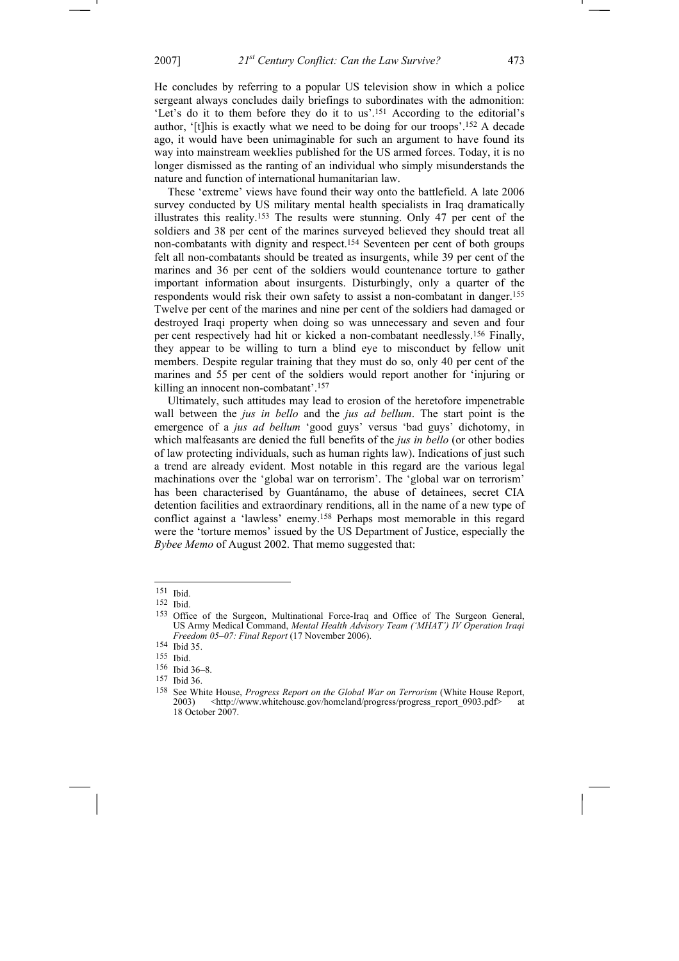He concludes by referring to a popular US television show in which a police sergeant always concludes daily briefings to subordinates with the admonition: 'Let's do it to them before they do it to us'.151 According to the editorial's author, '[t]his is exactly what we need to be doing for our troops'.152 A decade ago, it would have been unimaginable for such an argument to have found its way into mainstream weeklies published for the US armed forces. Today, it is no longer dismissed as the ranting of an individual who simply misunderstands the nature and function of international humanitarian law.

These 'extreme' views have found their way onto the battlefield. A late 2006 survey conducted by US military mental health specialists in Iraq dramatically illustrates this reality.153 The results were stunning. Only 47 per cent of the soldiers and 38 per cent of the marines surveyed believed they should treat all non-combatants with dignity and respect.154 Seventeen per cent of both groups felt all non-combatants should be treated as insurgents, while 39 per cent of the marines and 36 per cent of the soldiers would countenance torture to gather important information about insurgents. Disturbingly, only a quarter of the respondents would risk their own safety to assist a non-combatant in danger.155 Twelve per cent of the marines and nine per cent of the soldiers had damaged or destroyed Iraqi property when doing so was unnecessary and seven and four per cent respectively had hit or kicked a non-combatant needlessly.156 Finally, they appear to be willing to turn a blind eye to misconduct by fellow unit members. Despite regular training that they must do so, only 40 per cent of the marines and 55 per cent of the soldiers would report another for 'injuring or killing an innocent non-combatant'.157

Ultimately, such attitudes may lead to erosion of the heretofore impenetrable wall between the *jus in bello* and the *jus ad bellum*. The start point is the emergence of a *jus ad bellum* 'good guys' versus 'bad guys' dichotomy, in which malfeasants are denied the full benefits of the *jus in bello* (or other bodies of law protecting individuals, such as human rights law). Indications of just such a trend are already evident. Most notable in this regard are the various legal machinations over the 'global war on terrorism'. The 'global war on terrorism' has been characterised by Guantánamo, the abuse of detainees, secret CIA detention facilities and extraordinary renditions, all in the name of a new type of conflict against a 'lawless' enemy.158 Perhaps most memorable in this regard were the 'torture memos' issued by the US Department of Justice, especially the *Bybee Memo* of August 2002. That memo suggested that:

<sup>151</sup> Ibid.

<sup>152</sup> Ibid.

<sup>153</sup> Office of the Surgeon, Multinational Force-Iraq and Office of The Surgeon General, US Army Medical Command, *Mental Health Advisory Team ('MHAT') IV Operation Iraqi Freedom 05–07: Final Report* (17 November 2006).

<sup>154</sup> Ibid 35.

<sup>155</sup> Ibid.

<sup>156</sup> Ibid 36–8.

<sup>157</sup> Ibid 36.

<sup>158</sup> See White House, *Progress Report on the Global War on Terrorism* (White House Report, 2003) <http://www.whitehouse.gov/homeland/progress/progress\_report\_0903.pdf> 18 October 2007.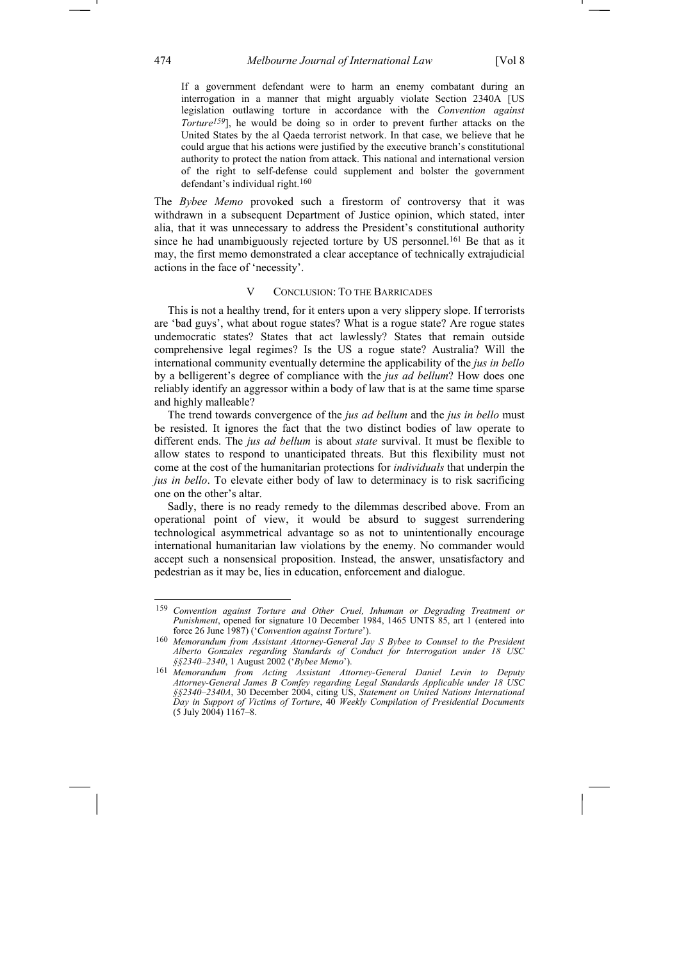If a government defendant were to harm an enemy combatant during an interrogation in a manner that might arguably violate Section 2340A [US legislation outlawing torture in accordance with the *Convention against Torture159*], he would be doing so in order to prevent further attacks on the United States by the al Qaeda terrorist network. In that case, we believe that he could argue that his actions were justified by the executive branch's constitutional authority to protect the nation from attack. This national and international version of the right to self-defense could supplement and bolster the government defendant's individual right.160

The *Bybee Memo* provoked such a firestorm of controversy that it was withdrawn in a subsequent Department of Justice opinion, which stated, inter alia, that it was unnecessary to address the President's constitutional authority since he had unambiguously rejected torture by US personnel.161 Be that as it may, the first memo demonstrated a clear acceptance of technically extrajudicial actions in the face of 'necessity'.

# V CONCLUSION: TO THE BARRICADES

This is not a healthy trend, for it enters upon a very slippery slope. If terrorists are 'bad guys', what about rogue states? What is a rogue state? Are rogue states undemocratic states? States that act lawlessly? States that remain outside comprehensive legal regimes? Is the US a rogue state? Australia? Will the international community eventually determine the applicability of the *jus in bello*  by a belligerent's degree of compliance with the *jus ad bellum*? How does one reliably identify an aggressor within a body of law that is at the same time sparse and highly malleable?

The trend towards convergence of the *jus ad bellum* and the *jus in bello* must be resisted. It ignores the fact that the two distinct bodies of law operate to different ends. The *jus ad bellum* is about *state* survival. It must be flexible to allow states to respond to unanticipated threats. But this flexibility must not come at the cost of the humanitarian protections for *individuals* that underpin the *jus in bello*. To elevate either body of law to determinacy is to risk sacrificing one on the other's altar.

Sadly, there is no ready remedy to the dilemmas described above. From an operational point of view, it would be absurd to suggest surrendering technological asymmetrical advantage so as not to unintentionally encourage international humanitarian law violations by the enemy. No commander would accept such a nonsensical proposition. Instead, the answer, unsatisfactory and pedestrian as it may be, lies in education, enforcement and dialogue.

<sup>159</sup> *Convention against Torture and Other Cruel, Inhuman or Degrading Treatment or Punishment*, opened for signature 10 December 1984, 1465 UNTS 85, art 1 (entered into force 26 June 1987) ('*Convention against Torture*').

<sup>160</sup> *Memorandum from Assistant Attorney-General Jay S Bybee to Counsel to the President Alberto Gonzales regarding Standards of Conduct for Interrogation under 18 USC §§2340–2340*, 1 August 2002 ('*Bybee Memo*').

<sup>161</sup> *Memorandum from Acting Assistant Attorney-General Daniel Levin to Deputy Attorney-General James B Comfey regarding Legal Standards Applicable under 18 USC §§2340–2340A*, 30 December 2004, citing US, *Statement on United Nations International Day in Support of Victims of Torture*, 40 *Weekly Compilation of Presidential Documents* (5 July 2004) 1167–8.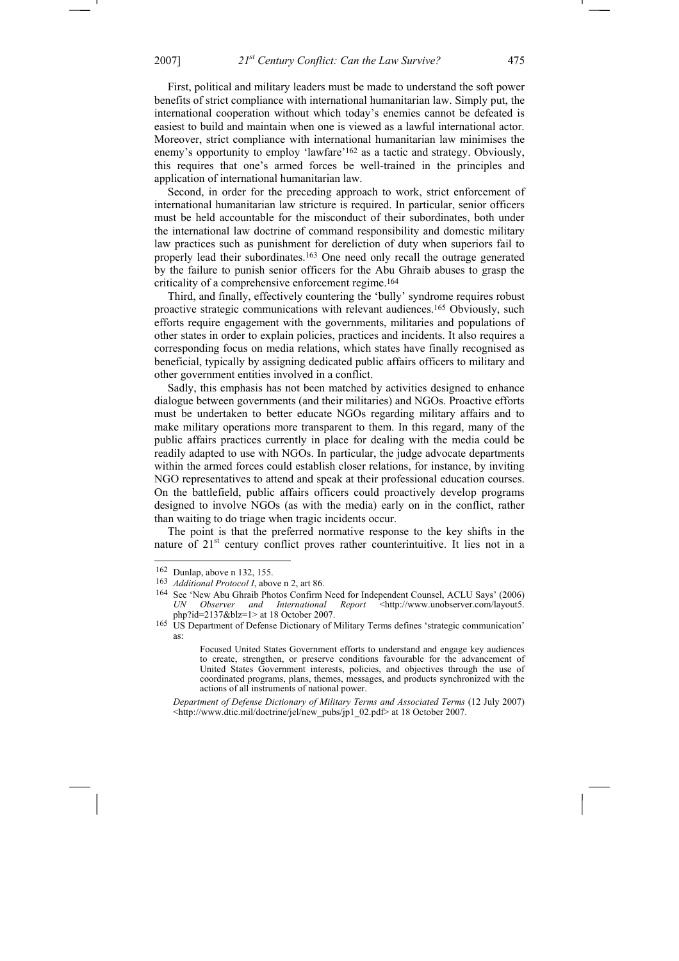First, political and military leaders must be made to understand the soft power benefits of strict compliance with international humanitarian law. Simply put, the international cooperation without which today's enemies cannot be defeated is easiest to build and maintain when one is viewed as a lawful international actor. Moreover, strict compliance with international humanitarian law minimises the enemy's opportunity to employ 'lawfare'162 as a tactic and strategy. Obviously, this requires that one's armed forces be well-trained in the principles and application of international humanitarian law.

Second, in order for the preceding approach to work, strict enforcement of international humanitarian law stricture is required. In particular, senior officers must be held accountable for the misconduct of their subordinates, both under the international law doctrine of command responsibility and domestic military law practices such as punishment for dereliction of duty when superiors fail to properly lead their subordinates.163 One need only recall the outrage generated by the failure to punish senior officers for the Abu Ghraib abuses to grasp the criticality of a comprehensive enforcement regime.164

Third, and finally, effectively countering the 'bully' syndrome requires robust proactive strategic communications with relevant audiences.165 Obviously, such efforts require engagement with the governments, militaries and populations of other states in order to explain policies, practices and incidents. It also requires a corresponding focus on media relations, which states have finally recognised as beneficial, typically by assigning dedicated public affairs officers to military and other government entities involved in a conflict.

Sadly, this emphasis has not been matched by activities designed to enhance dialogue between governments (and their militaries) and NGOs. Proactive efforts must be undertaken to better educate NGOs regarding military affairs and to make military operations more transparent to them. In this regard, many of the public affairs practices currently in place for dealing with the media could be readily adapted to use with NGOs. In particular, the judge advocate departments within the armed forces could establish closer relations, for instance, by inviting NGO representatives to attend and speak at their professional education courses. On the battlefield, public affairs officers could proactively develop programs designed to involve NGOs (as with the media) early on in the conflict, rather than waiting to do triage when tragic incidents occur.

The point is that the preferred normative response to the key shifts in the nature of  $21<sup>st</sup>$  century conflict proves rather counterintuitive. It lies not in a

-

*Department of Defense Dictionary of Military Terms and Associated Terms* (12 July 2007) <http://www.dtic.mil/doctrine/jel/new\_pubs/jp1\_02.pdf> at 18 October 2007.

<sup>162</sup> Dunlap, above n 132, 155.

<sup>163</sup> *Additional Protocol I*, above n 2, art 86.

<sup>&</sup>lt;sup>164</sup> See 'New Abu Ghraib Photos Confirm Need for Independent Counsel, ACLU Says' (2006)<br>*UN Observer and International Report* <http://www.unobserver.com/layout5. *UN Observer and International Report* <http://www.unobserver.com/layout5. php?id=2137&blz=1> at 18 October 2007.

<sup>&</sup>lt;sup>165</sup> US Department of Defense Dictionary of Military Terms defines 'strategic communication' as:

Focused United States Government efforts to understand and engage key audiences to create, strengthen, or preserve conditions favourable for the advancement of United States Government interests, policies, and objectives through the use of coordinated programs, plans, themes, messages, and products synchronized with the actions of all instruments of national power.